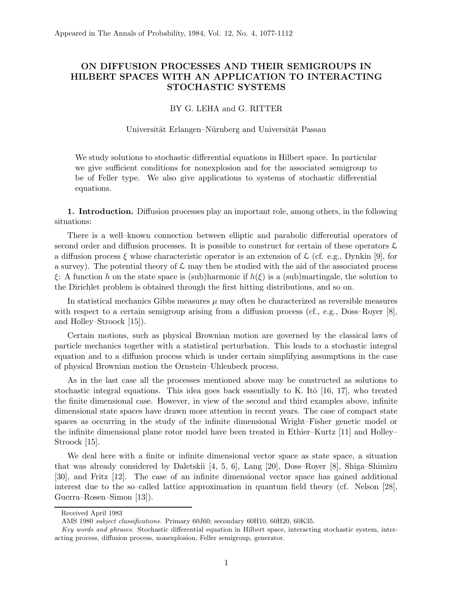# ON DIFFUSION PROCESSES AND THEIR SEMIGROUPS IN HILBERT SPACES WITH AN APPLICATION TO INTERACTING STOCHASTIC SYSTEMS

# BY G. LEHA and G. RITTER

#### Universität Erlangen–Nürnberg and Universität Passau

We study solutions to stochastic differential equations in Hilbert space. In particular we give sufficient conditions for nonexplosion and for the associated semigroup to be of Feller type. We also give applications to systems of stochastic differential equations.

1. Introduction. Diffusion processes play an important role, among others, in the following situations:

There is a well–known connection between elliptic and parabolic differential operators of second order and diffusion processes. It is possible to construct for certain of these operators  $\mathcal{L}$ a diffusion process  $\xi$  whose characteristic operator is an extension of  $\mathcal{L}$  (cf. e.g., Dynkin [9], for a survey). The potential theory of  $\mathcal L$  may then be studied with the aid of the associated process  $\xi$ : A function h on the state space is (sub)harmonic if  $h(\xi)$  is a (sub)martingale, the solution to the Dirichlet problem is obtained through the first hitting distributions, and so on.

In statistical mechanics Gibbs measures  $\mu$  may often be characterized as reversible measures with respect to a certain semigroup arising from a diffusion process (cf., e.g., Doss–Royer [8], and Holley–Stroock [15]).

Certain motions, such as physical Brownian motion are governed by the classical laws of particle mechanics together with a statistical perturbation. This leads to a stochastic integral equation and to a diffusion process which is under certain simplifying assumptions in the case of physical Brownian motion the Ornstein–Uhlenbeck process.

As in the last case all the processes mentioned above may be constructed as solutions to stochastic integral equations. This idea goes back essentially to K. Itô  $[16, 17]$ , who treated the finite dimensional case. However, in view of the second and third examples above, infinite dimensional state spaces have drawn more attention in recent years. The case of compact state spaces as occurring in the study of the infinite dimensional Wright–Fisher genetic model or the infinite dimensional plane rotor model have been treated in Ethier–Kurtz [11] and Holley– Stroock [15].

We deal here with a finite or infinite dimensional vector space as state space, a situation that was already considered by Daletskii [4, 5, 6], Lang [20], Doss–Royer [8], Shiga–Shimizu [30], and Fritz [12]. The case of an infinite dimensional vector space has gained additional interest due to the so–called lattice approximation in quantum field theory (cf. Nelson [28], Guerra–Rosen–Simon [13]).

Received April 1983

AMS 1980 subject classifications. Primary 60J60; secondary 60H10, 60H20, 60K35.

Key words and phrases. Stochastic differential equation in Hilbert space, interacting stochastic system, interacting process, diffusion process, nonexplosion, Feller semigroup, generator.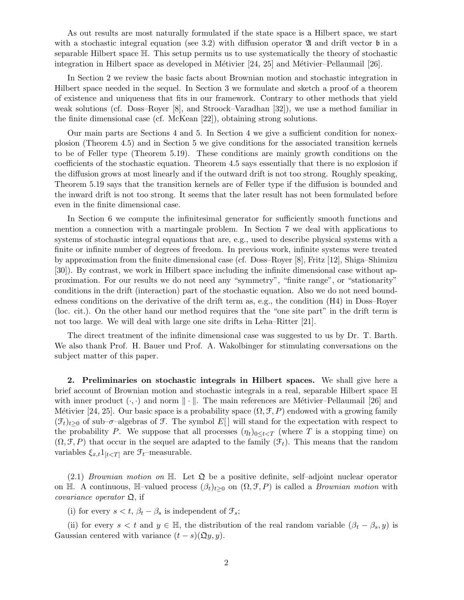As out results are most naturally formulated if the state space is a Hilbert space, we start with a stochastic integral equation (see 3.2) with diffusion operator  $\mathfrak{A}$  and drift vector  $\mathfrak{b}$  in a separable Hilbert space H. This setup permits us to use systematically the theory of stochastic integration in Hilbert space as developed in Métivier  $[24, 25]$  and Métivier–Pellaumail  $[26]$ .

In Section 2 we review the basic facts about Brownian motion and stochastic integration in Hilbert space needed in the sequel. In Section 3 we formulate and sketch a proof of a theorem of existence and uniqueness that fits in our framework. Contrary to other methods that yield weak solutions (cf. Doss–Royer [8], and Stroock–Varadhan [32]), we use a method familiar in the finite dimensional case (cf. McKean [22]), obtaining strong solutions.

Our main parts are Sections 4 and 5. In Section 4 we give a sufficient condition for nonexplosion (Theorem 4.5) and in Section 5 we give conditions for the associated transition kernels to be of Feller type (Theorem 5.19). These conditions are mainly growth conditions on the coefficients of the stochastic equation. Theorem 4.5 says essentially that there is no explosion if the diffusion grows at most linearly and if the outward drift is not too strong. Roughly speaking, Theorem 5.19 says that the transition kernels are of Feller type if the diffusion is bounded and the inward drift is not too strong. It seems that the later result has not been formulated before even in the finite dimensional case.

In Section 6 we compute the infinitesimal generator for sufficiently smooth functions and mention a connection with a martingale problem. In Section 7 we deal with applications to systems of stochastic integral equations that are, e.g., used to describe physical systems with a finite or infinite number of degrees of freedom. In previous work, infinite systems were treated by approximation from the finite dimensional case (cf. Doss–Royer [8], Fritz [12], Shiga–Shimizu [30]). By contrast, we work in Hilbert space including the infinite dimensional case without approximation. For our results we do not need any "symmetry", "finite range", or "stationarity" conditions in the drift (interaction) part of the stochastic equation. Also we do not need boundedness conditions on the derivative of the drift term as, e.g., the condition (H4) in Doss–Royer (loc. cit.). On the other hand our method requires that the "one site part" in the drift term is not too large. We will deal with large one site drifts in Leha–Ritter [21].

The direct treatment of the infinite dimensional case was suggested to us by Dr. T. Barth. We also thank Prof. H. Bauer und Prof. A. Wakolbinger for stimulating conversations on the subject matter of this paper.

2. Preliminaries on stochastic integrals in Hilbert spaces. We shall give here a brief account of Brownian motion and stochastic integrals in a real, separable Hilbert space H with inner product  $(\cdot, \cdot)$  and norm  $\|\cdot\|$ . The main references are Métivier–Pellaumail [26] and Métivier [24, 25]. Our basic space is a probability space  $(\Omega, \mathcal{F}, P)$  endowed with a growing family  $(\mathcal{F}_t)_{t>0}$  of sub– $\sigma$ –algebras of  $\mathcal{F}$ . The symbol E[] will stand for the expectation with respect to the probability P. We suppose that all processes  $(\eta_t)_{0\leq t\leq T}$  (where T is a stopping time) on  $(\Omega, \mathcal{F}, P)$  that occur in the sequel are adapted to the family  $(\mathcal{F}_t)$ . This means that the random variables  $\xi_{x,t}1_{[t are  $\mathcal{F}_t$ -measurable.$ 

(2.1) Brownian motion on  $\mathbb{H}$ . Let  $\mathfrak{Q}$  be a positive definite, self-adjoint nuclear operator on H. A continuous, H–valued process  $(\beta_t)_{t\geq 0}$  on  $(\Omega, \mathcal{F}, P)$  is called a *Brownian motion* with *covariance operator*  $\mathfrak{Q}$ , if

(i) for every  $s < t$ ,  $\beta_t - \beta_s$  is independent of  $\mathcal{F}_s$ ;

(ii) for every  $s < t$  and  $y \in \mathbb{H}$ , the distribution of the real random variable  $(\beta_t - \beta_s, y)$  is Gaussian centered with variance  $(t - s)(\mathfrak{Q}y, y)$ .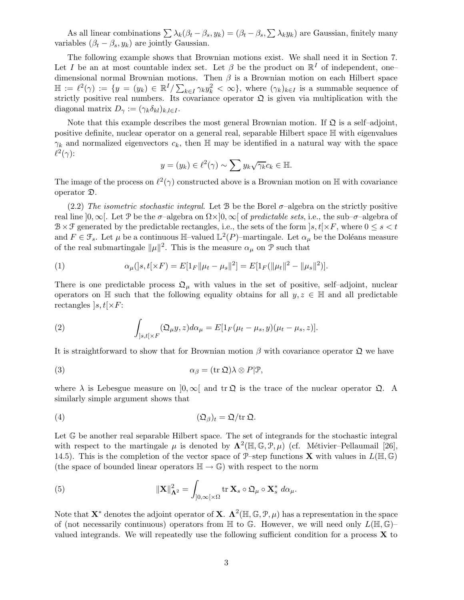As all linear combinations  $\sum \lambda_k(\beta_t - \beta_s, y_k) = (\beta_t - \beta_s, \sum \lambda_k y_k)$  are Gaussian, finitely many variables  $(\beta_t - \beta_s, y_k)$  are jointly Gaussian.

The following example shows that Brownian motions exist. We shall need it in Section 7. Let I be an at most countable index set. Let  $\beta$  be the product on  $\mathbb{R}^I$  of independent, onedimensional normal Brownian motions. Then  $\beta$  is a Brownian motion on each Hilbert space  $\mathbb{H} := \ell^2(\gamma) := \{y = (y_k) \in \mathbb{R}^I/\sum_{k \in I} \gamma_k y_k^2 < \infty\},\$  where  $(\gamma_k)_{k \in I}$  is a summable sequence of strictly positive real numbers. Its covariance operator  $\mathfrak{Q}$  is given via multiplication with the diagonal matrix  $D_{\gamma} := (\gamma_k \delta_{kl})_{k,l \in I}$ .

Note that this example describes the most general Brownian motion. If  $\mathfrak{Q}$  is a self-adjoint, positive definite, nuclear operator on a general real, separable Hilbert space H with eigenvalues  $\gamma_k$  and normalized eigenvectors  $c_k$ , then H may be identified in a natural way with the space  $\ell^2(\gamma)$ :

$$
y = (y_k) \in \ell^2(\gamma) \sim \sum y_k \sqrt{\gamma_k} c_k \in \mathbb{H}.
$$

The image of the process on  $\ell^2(\gamma)$  constructed above is a Brownian motion on H with covariance operator D.

(2.2) The isometric stochastic integral. Let B be the Borel  $\sigma$ -algebra on the strictly positive real line  $[0,\infty]$ . Let P be the  $\sigma$ –algebra on  $\Omega \times ]0,\infty[$  of predictable sets, i.e., the sub– $\sigma$ –algebra of  $B \times \mathcal{F}$  generated by the predictable rectangles, i.e., the sets of the form  $|s,t| \times F$ , where  $0 \leq s < t$ and  $F \in \mathcal{F}_s$ . Let  $\mu$  be a continuous  $\mathbb{H}$ -valued  $\mathbb{L}^2(P)$ -martingale. Let  $\alpha_{\mu}$  be the Doléans measure of the real submartingale  $\|\mu\|^2$ . This is the measure  $\alpha_{\mu}$  on  $\mathcal P$  such that

(1) 
$$
\alpha_{\mu}(|s,t[\times F) = E[1_F || \mu_t - \mu_s||^2] = E[1_F(||\mu_t||^2 - ||\mu_s||^2)].
$$

There is one predictable process  $\mathfrak{Q}_{\mu}$  with values in the set of positive, self-adjoint, nuclear operators on  $\mathbb H$  such that the following equality obtains for all  $y, z \in \mathbb H$  and all predictable rectangles  $|s,t|\times F$ :

(2) 
$$
\int_{]s,t[\times F]} (\mathfrak{Q}_{\mu} y, z) d\alpha_{\mu} = E[1_F(\mu_t - \mu_s, y)(\mu_t - \mu_s, z)].
$$

It is straightforward to show that for Brownian motion  $\beta$  with covariance operator  $\mathfrak{Q}$  we have

(3) 
$$
\alpha_{\beta} = (\text{tr }\mathfrak{Q})\lambda \otimes P|\mathcal{P},
$$

where  $\lambda$  is Lebesgue measure on  $[0,\infty[$  and  $tr \mathfrak{Q}]$  is the trace of the nuclear operator  $\mathfrak{Q}$ . A similarly simple argument shows that

(4) 
$$
(\mathfrak{Q}_{\beta})_t = \mathfrak{Q}/\text{tr}\,\mathfrak{Q}.
$$

Let  $\mathbb{G}$  be another real separable Hilbert space. The set of integrands for the stochastic integral with respect to the martingale  $\mu$  is denoted by  $\mathbf{\Lambda}^2(\mathbb{H}, \mathbb{G}, \mathcal{P}, \mu)$  (cf. Métivier–Pellaumail [26], 14.5). This is the completion of the vector space of  $\mathcal{P}\text{-step}$  functions **X** with values in  $L(\mathbb{H}, \mathbb{G})$ (the space of bounded linear operators  $\mathbb{H} \to \mathbb{G}$ ) with respect to the norm

(5) 
$$
\|\mathbf{X}\|_{\mathbf{\Lambda}^2}^2 = \int_{]0,\infty[\times \Omega} \text{tr }\mathbf{X}_s \circ \mathfrak{Q}_\mu \circ \mathbf{X}_s^* d\alpha_\mu.
$$

Note that  $X^*$  denotes the adjoint operator of  $X$ .  $\Lambda^2(\mathbb{H}, \mathbb{G}, \mathcal{P}, \mu)$  has a representation in the space of (not necessarily continuous) operators from  $\mathbb H$  to  $\mathbb G$ . However, we will need only  $L(\mathbb H,\mathbb G)$ valued integrands. We will repeatedly use the following sufficient condition for a process  $X$  to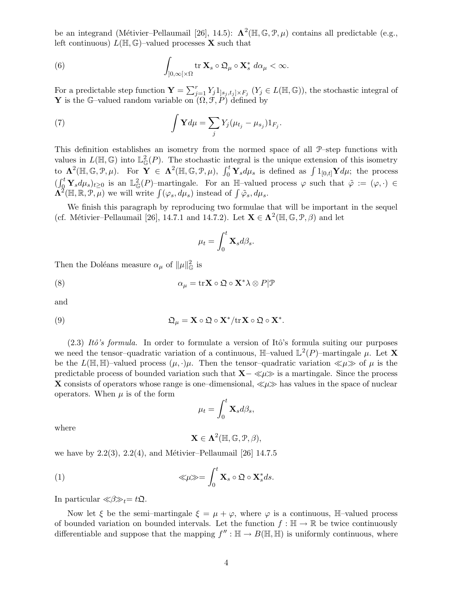be an integrand (Métivier–Pellaumail [26], 14.5):  $\Lambda^2(\mathbb{H}, \mathbb{G}, \mathcal{P}, \mu)$  contains all predictable (e.g., left continuous)  $L(\mathbb{H}, \mathbb{G})$ -valued processes **X** such that

(6) 
$$
\int_{]0,\infty[\times\Omega} \operatorname{tr} \mathbf{X}_s \circ \mathfrak{Q}_\mu \circ \mathbf{X}_s^* d\alpha_\mu < \infty.
$$

For a predictable step function  $\mathbf{Y} = \sum_{j=1}^r Y_j \mathbb{1}_{]s_j,t_j] \times F_j} (Y_j \in L(\mathbb{H}, \mathbb{G}))$ , the stochastic integral of **Y** is the G-valued random variable on  $(\Omega, \mathcal{F}, P)$  defined by

(7) 
$$
\int \mathbf{Y} d\mu = \sum_j Y_j (\mu_{t_j} - \mu_{s_j}) 1_{F_j}.
$$

This definition establishes an isometry from the normed space of all P–step functions with values in  $L(\mathbb{H}, \mathbb{G})$  into  $\mathbb{L}^2_{\mathbb{G}}(P)$ . The stochastic integral is the unique extension of this isometry to  $\Lambda^2(\mathbb{H}, \mathbb{G}, \mathcal{P}, \mu)$ . For  $\mathbf{Y} \in \Lambda^2(\mathbb{H}, \mathbb{G}, \mathcal{P}, \mu)$ ,  $\int_0^t \mathbf{Y}_s d\mu_s$  is defined as  $\int 1_{[0,t]} \mathbf{Y} d\mu$ ; the process  $(\int_{0}^{t} \mathbf{Y}_{s} d\mu_{s})_{t\geq 0}$  is an  $\mathbb{L}^{2}_{\mathbb{G}}(P)$ -martingale. For an H-valued process  $\varphi$  such that  $\tilde{\varphi}:=(\varphi,\cdot)\in$  $\Lambda^2(\mathbb{H}, \mathbb{R}, \mathcal{P}, \mu)$  we will write  $\int (\varphi_s, d\mu_s)$  instead of  $\int \tilde{\varphi}_s, d\mu_s$ .

We finish this paragraph by reproducing two formulae that will be important in the sequel (cf. Métivier–Pellaumail [26], 14.7.1 and 14.7.2). Let  $\mathbf{X} \in \Lambda^2(\mathbb{H}, \mathbb{G}, \mathcal{P}, \beta)$  and let

$$
\mu_t = \int_0^t \mathbf{X}_s d\beta_s.
$$

Then the Doléans measure  $\alpha_{\mu}$  of  $\|\mu\|_{\mathbb{G}}^2$  is

(8) 
$$
\alpha_{\mu} = \operatorname{tr} \mathbf{X} \circ \mathfrak{Q} \circ \mathbf{X}^* \lambda \otimes P | \mathcal{P}
$$

and

(9) 
$$
\mathfrak{Q}_{\mu} = \mathbf{X} \circ \mathfrak{Q} \circ \mathbf{X}^* / tr \mathbf{X} \circ \mathfrak{Q} \circ \mathbf{X}^*.
$$

 $(2.3)$  Itô's formula. In order to formulate a version of Itô's formula suiting our purposes we need the tensor-quadratic variation of a continuous,  $\mathbb{H}$ -valued  $\mathbb{L}^2(P)$ -martingale  $\mu$ . Let **X** be the  $L(\mathbb{H}, \mathbb{H})$ -valued process  $(\mu, \cdot)\mu$ . Then the tensor-quadratic variation  $\ll \mu \gg$  of  $\mu$  is the predictable process of bounded variation such that  $X-\ll\mu\gg$  is a martingale. Since the process X consists of operators whose range is one–dimensional,  $\ll \mu \gg$  has values in the space of nuclear operators. When  $\mu$  is of the form

$$
\mu_t = \int_0^t \mathbf{X}_s d\beta_s,
$$

where

$$
\mathbf{X}\in\Lambda^2(\mathbb{H},\mathbb{G},\mathfrak{P},\beta),
$$

we have by  $2.2(3)$ ,  $2.2(4)$ , and Métivier–Pellaumail [26] 14.7.5

(1) 
$$
\ll \mu \gg = \int_0^t \mathbf{X}_s \circ \mathfrak{Q} \circ \mathbf{X}_s^* ds.
$$

In particular  $\ll \beta \gg_t = t\mathfrak{Q}$ .

Now let  $\xi$  be the semi–martingale  $\xi = \mu + \varphi$ , where  $\varphi$  is a continuous, H-valued process of bounded variation on bounded intervals. Let the function  $f : \mathbb{H} \to \mathbb{R}$  be twice continuously differentiable and suppose that the mapping  $f'' : \mathbb{H} \to B(\mathbb{H}, \mathbb{H})$  is uniformly continuous, where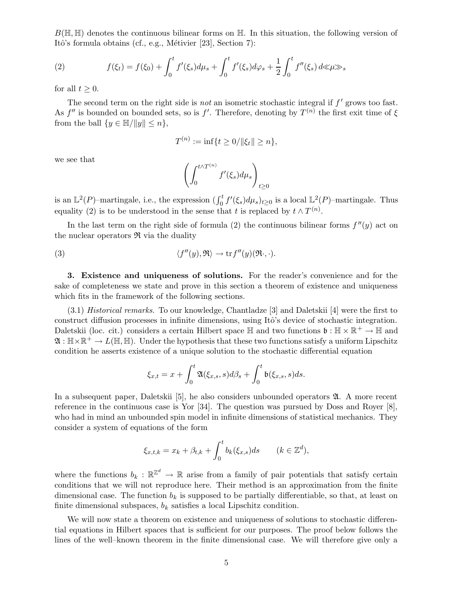$B(\mathbb{H}, \mathbb{H})$  denotes the continuous bilinear forms on  $\mathbb{H}$ . In this situation, the following version of Itô's formula obtains (cf., e.g., Métivier [23], Section 7):

(2) 
$$
f(\xi_t) = f(\xi_0) + \int_0^t f'(\xi_s) d\mu_s + \int_0^t f'(\xi_s) d\varphi_s + \frac{1}{2} \int_0^t f''(\xi_s) d\kappa_s
$$

for all  $t \geq 0$ .

The second term on the right side is *not* an isometric stochastic integral if  $f'$  grows too fast. As  $f''$  is bounded on bounded sets, so is  $f'$ . Therefore, denoting by  $T^{(n)}$  the first exit time of  $\xi$ from the ball  $\{y \in \mathbb{H}/\|y\| \leq n\},\$ 

$$
T^{(n)} := \inf\{t \ge 0/\|\xi_t\| \ge n\},\
$$

we see that

$$
\left(\int_0^{t\wedge T^{(n)}} f'(\xi_s)d\mu_s\right)_{t\geq 0}
$$

is an  $\mathbb{L}^2(P)$ -martingale, i.e., the expression  $(\int_0^t f'(\xi_s)d\mu_s)_{t\geq 0}$  is a local  $\mathbb{L}^2(P)$ -martingale. Thus equality (2) is to be understood in the sense that t is replaced by  $t \wedge T^{(n)}$ .

In the last term on the right side of formula (2) the continuous bilinear forms  $f''(y)$  act on the nuclear operators  $\Re$  via the duality

(3) 
$$
\langle f''(y), \mathfrak{R} \rangle \to \text{tr} f''(y)(\mathfrak{R} \cdot, \cdot).
$$

3. Existence and uniqueness of solutions. For the reader's convenience and for the sake of completeness we state and prove in this section a theorem of existence and uniqueness which fits in the framework of the following sections.

(3.1) Historical remarks. To our knowledge, Chantladze [3] and Daletskii [4] were the first to construct diffusion processes in infinite dimensions, using Itô's device of stochastic integration. Daletskii (loc. cit.) considers a certain Hilbert space  $\mathbb H$  and two functions  $\mathfrak b : \mathbb H \times \mathbb R^+ \to \mathbb H$  and  $\mathfrak{A}:\mathbb{H}\times\mathbb{R}^+\to L(\mathbb{H},\mathbb{H})$ . Under the hypothesis that these two functions satisfy a uniform Lipschitz condition he asserts existence of a unique solution to the stochastic differential equation

$$
\xi_{x,t} = x + \int_0^t \mathfrak{A}(\xi_{x,s},s)d\beta_s + \int_0^t \mathfrak{b}(\xi_{x,s},s)ds.
$$

In a subsequent paper, Daletskii [5], he also considers unbounded operators  $\mathfrak{A}$ . A more recent reference in the continuous case is Yor [34]. The question was pursued by Doss and Royer [8], who had in mind an unbounded spin model in infinite dimensions of statistical mechanics. They consider a system of equations of the form

$$
\xi_{x,t,k} = x_k + \beta_{t,k} + \int_0^t b_k(\xi_{x,s})ds \qquad (k \in \mathbb{Z}^d),
$$

where the functions  $b_k : \mathbb{R}^{\mathbb{Z}^d} \to \mathbb{R}$  arise from a family of pair potentials that satisfy certain conditions that we will not reproduce here. Their method is an approximation from the finite dimensional case. The function  $b_k$  is supposed to be partially differentiable, so that, at least on finite dimensional subspaces,  $b_k$  satisfies a local Lipschitz condition.

We will now state a theorem on existence and uniqueness of solutions to stochastic differential equations in Hilbert spaces that is sufficient for our purposes. The proof below follows the lines of the well–known theorem in the finite dimensional case. We will therefore give only a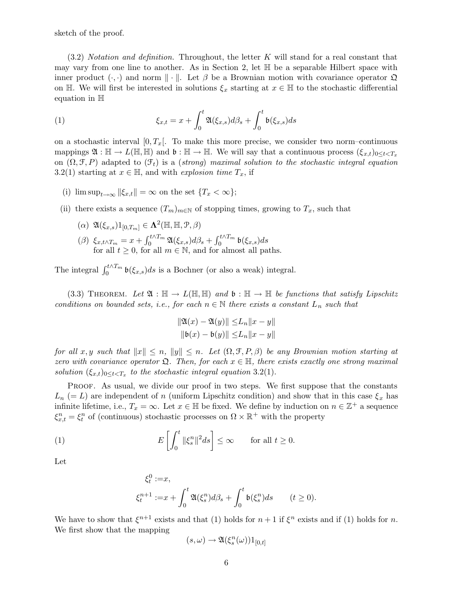sketch of the proof.

 $(3.2)$  *Notation and definition.* Throughout, the letter K will stand for a real constant that may vary from one line to another. As in Section 2, let  $\mathbb H$  be a separable Hilbert space with inner product  $(\cdot, \cdot)$  and norm  $\|\cdot\|$ . Let  $\beta$  be a Brownian motion with covariance operator  $\mathfrak{Q}$ on H. We will first be interested in solutions  $\xi_x$  starting at  $x \in \mathbb{H}$  to the stochastic differential equation in H

(1) 
$$
\xi_{x,t} = x + \int_0^t \mathfrak{A}(\xi_{x,s}) d\beta_s + \int_0^t \mathfrak{b}(\xi_{x,s}) ds
$$

on a stochastic interval  $[0, T_x]$ . To make this more precise, we consider two norm–continuous mappings  $\mathfrak{A} : \mathbb{H} \to L(\mathbb{H}, \mathbb{H})$  and  $\mathfrak{b} : \mathbb{H} \to \mathbb{H}$ . We will say that a continuous process  $(\xi_{x,t})_{0 \leq t \leq T_x}$ on  $(\Omega, \mathcal{F}, P)$  adapted to  $(\mathcal{F}_t)$  is a (strong) maximal solution to the stochastic integral equation 3.2(1) starting at  $x \in \mathbb{H}$ , and with *explosion time*  $T_x$ , if

- (i)  $\limsup_{t\to\infty} ||\xi_{x,t}|| = \infty$  on the set  $\{T_x < \infty\};$
- (ii) there exists a sequence  $(T_m)_{m\in\mathbb{N}}$  of stopping times, growing to  $T_x$ , such that
	- $(\alpha) \ \mathfrak{A}(\xi_{x,s})1_{[0,T_m]} \in \Lambda^2(\mathbb{H}, \mathbb{H}, \mathcal{P}, \beta)$
	- ( $\beta$ )  $\xi_{x,t\wedge T_m} = x + \int_0^{t\wedge T_m} \mathfrak{A}(\xi_{x,s}) d\beta_s + \int_0^{t\wedge T_m} \mathfrak{b}(\xi_{x,s}) ds$ for all  $t \geq 0$ , for all  $m \in \mathbb{N}$ , and for almost all paths.

The integral  $\int_0^{t \wedge T_m} \mathfrak{b}(\xi_{x,s})ds$  is a Bochner (or also a weak) integral.

(3.3) THEOREM. Let  $\mathfrak{A} : \mathbb{H} \to L(\mathbb{H}, \mathbb{H})$  and  $\mathfrak{b} : \mathbb{H} \to \mathbb{H}$  be functions that satisfy Lipschitz conditions on bounded sets, i.e., for each  $n \in \mathbb{N}$  there exists a constant  $L_n$  such that

$$
\|\mathfrak{A}(x) - \mathfrak{A}(y)\| \le L_n \|x - y\|
$$
  

$$
\|\mathfrak{b}(x) - \mathfrak{b}(y)\| \le L_n \|x - y\|
$$

for all x, y such that  $||x|| \leq n$ ,  $||y|| \leq n$ . Let  $(\Omega, \mathcal{F}, P, \beta)$  be any Brownian motion starting at zero with covariance operator  $\mathfrak{Q}$ . Then, for each  $x \in \mathbb{H}$ , there exists exactly one strong maximal solution  $(\xi_{x,t})_{0\leq t < T_x}$  to the stochastic integral equation 3.2(1).

PROOF. As usual, we divide our proof in two steps. We first suppose that the constants  $L_n$  (= L) are independent of n (uniform Lipschitz condition) and show that in this case  $\xi_x$  has infinite lifetime, i.e.,  $T_x = \infty$ . Let  $x \in \mathbb{H}$  be fixed. We define by induction on  $n \in \mathbb{Z}^+$  a sequence  $\xi_{x,t}^n = \xi_t^n$  of (continuous) stochastic processes on  $\Omega \times \mathbb{R}^+$  with the property

(1) 
$$
E\left[\int_0^t \|\xi_s^n\|^2 ds\right] \leq \infty \quad \text{for all } t \geq 0.
$$

Let

$$
\begin{aligned}\n\xi_t^0 &:= x, \\
\xi_t^{n+1} &:= x + \int_0^t \mathfrak{A}(\xi_s^n) d\beta_s + \int_0^t \mathfrak{b}(\xi_s^n) ds \qquad (t \ge 0).\n\end{aligned}
$$

We have to show that  $\xi^{n+1}$  exists and that (1) holds for  $n+1$  if  $\xi^n$  exists and if (1) holds for n. We first show that the mapping

$$
(s,\omega)\to\mathfrak{A}(\xi^n_s(\omega))1_{[0,t]}
$$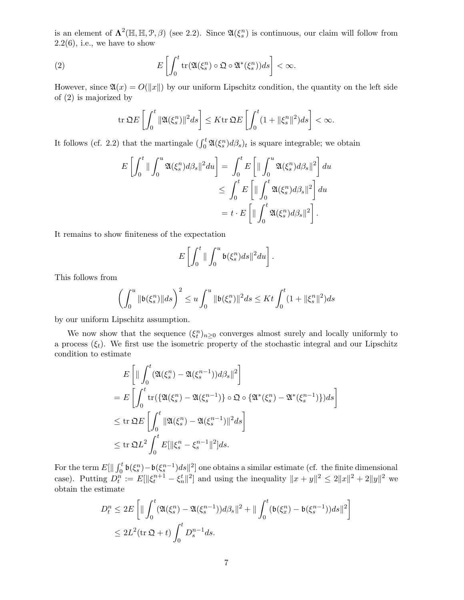is an element of  $\Lambda^2(\mathbb{H}, \mathbb{H}, \mathcal{P}, \beta)$  (see 2.2). Since  $\mathfrak{A}(\xi_s^n)$  is continuous, our claim will follow from  $2.2(6)$ , i.e., we have to show

(2) 
$$
E\left[\int_0^t \text{tr}(\mathfrak{A}(\xi_s^n)\circ\mathfrak{Q}\circ\mathfrak{A}^*(\xi_s^n))ds\right]<\infty.
$$

However, since  $\mathfrak{A}(x) = O(||x||)$  by our uniform Lipschitz condition, the quantity on the left side of (2) is majorized by

$$
\operatorname{tr} \mathfrak{Q} E\left[\int_0^t \|\mathfrak{A}(\xi^n_s)\|^2 ds\right] \leq K \operatorname{tr} \mathfrak{Q} E\left[\int_0^t (1 + \|\xi^n_s\|^2) ds\right] < \infty.
$$

It follows (cf. 2.2) that the martingale  $(\int_0^t \mathfrak{A}(\xi_s^n) d\beta_s)_t$  is square integrable; we obtain

$$
E\left[\int_0^t \|\int_0^u \mathfrak{A}(\xi_s^n) d\beta_s\|^2 du\right] = \int_0^t E\left[\|\int_0^u \mathfrak{A}(\xi_s^n) d\beta_s\|^2\right] du
$$
  

$$
\leq \int_0^t E\left[\|\int_0^t \mathfrak{A}(\xi_s^n) d\beta_s\|^2\right] du
$$
  

$$
= t \cdot E\left[\|\int_0^t \mathfrak{A}(\xi_s^n) d\beta_s\|^2\right].
$$

It remains to show finiteness of the expectation

$$
E\left[\int_0^t \|\int_0^u \mathfrak{b}(\xi_s^n)ds\|^2du\right].
$$

This follows from

$$
\left(\int_0^u \|\mathfrak{b}(\xi^n_s)\|ds\right)^2 \leq u \int_0^u \|\mathfrak{b}(\xi^n_s)\|^2 ds \leq Kt \int_0^t (1 + \|\xi^n_s\|^2)ds
$$

by our uniform Lipschitz assumption.

We now show that the sequence  $(\xi_t^n)_{n\geq 0}$  converges almost surely and locally uniformly to a process  $(\xi_t)$ . We first use the isometric property of the stochastic integral and our Lipschitz condition to estimate

$$
E\left[\|\int_0^t (\mathfrak{A}(\xi_s^n) - \mathfrak{A}(\xi_s^{n-1}))d\beta_s\|^2\right]
$$
  
\n
$$
= E\left[\int_0^t \text{tr}\left(\{\mathfrak{A}(\xi_s^n) - \mathfrak{A}(\xi_s^{n-1})\} \circ \mathfrak{Q} \circ \{\mathfrak{A}^*(\xi_s^n) - \mathfrak{A}^*(\xi_s^{n-1})\}\right)ds\right]
$$
  
\n
$$
\leq \text{tr }\mathfrak{Q}E\left[\int_0^t \|\mathfrak{A}(\xi_s^n) - \mathfrak{A}(\xi_s^{n-1})\|^2 ds\right]
$$
  
\n
$$
\leq \text{tr }\mathfrak{Q}L^2 \int_0^t E[\|\xi_s^n - \xi_s^{n-1}\|^2]ds.
$$

For the term  $E[\|\int_0^t \mathfrak{b}(\xi_s^n) - \mathfrak{b}(\xi_s^{n-1})ds\|^2]$  one obtains a similar estimate (cf. the finite dimensional case). Putting  $D_t^n := E[||\xi_t^{n+1} - \xi_n^t||^2]$  and using the inequality  $||x + y||^2 \le 2||x||^2 + 2||y||^2$  we obtain the estimate

$$
D_t^n \le 2E\left[\|\int_0^t (\mathfrak{A}(\xi_s^n) - \mathfrak{A}(\xi_s^{n-1}))d\beta_s\|^2 + \|\int_0^t (\mathfrak{b}(\xi_x^n) - \mathfrak{b}(\xi_s^{n-1}))ds\|^2\right]
$$
  

$$
\le 2L^2(\text{tr }\mathfrak{Q} + t)\int_0^t D_s^{n-1}ds.
$$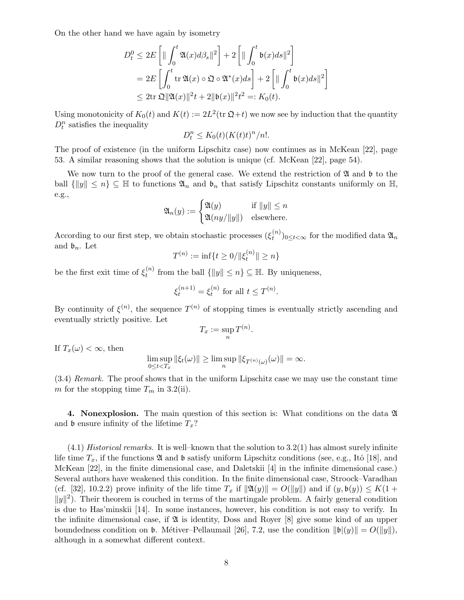On the other hand we have again by isometry

$$
D_t^0 \le 2E\left[\|\int_0^t \mathfrak{A}(x)d\beta_s\|^2\right] + 2\left[\|\int_0^t \mathfrak{b}(x)ds\|^2\right]
$$
  
=  $2E\left[\int_0^t \text{tr }\mathfrak{A}(x) \circ \mathfrak{Q} \circ \mathfrak{A}^*(x)ds\right] + 2\left[\|\int_0^t \mathfrak{b}(x)ds\|^2\right]$   
 $\le 2\text{tr }\mathfrak{Q} \|\mathfrak{A}(x)\|^2 t + 2\|\mathfrak{b}(x)\|^2 t^2 =: K_0(t).$ 

Using monotonicity of  $K_0(t)$  and  $K(t) := 2L^2(\text{tr }\mathfrak{Q}+t)$  we now see by induction that the quantity  $D_t^n$  satisfies the inequality

$$
D_t^n \le K_0(t) (K(t)t)^n/n!.
$$

The proof of existence (in the uniform Lipschitz case) now continues as in McKean [22], page 53. A similar reasoning shows that the solution is unique (cf. McKean [22], page 54).

We now turn to the proof of the general case. We extend the restriction of  $\mathfrak A$  and  $\mathfrak b$  to the ball  $\{\|y\| \leq n\} \subseteq \mathbb{H}$  to functions  $\mathfrak{A}_n$  and  $\mathfrak{b}_n$  that satisfy Lipschitz constants uniformly on  $\mathbb{H}$ , e.g.,

$$
\mathfrak{A}_n(y) := \begin{cases} \mathfrak{A}(y) & \text{if } ||y|| \le n \\ \mathfrak{A}(ny/||y||) & \text{elsewhere.} \end{cases}
$$

According to our first step, we obtain stochastic processes  $(\xi_t^{(n)})$  $\binom{n}{t}$ <sub>0≤t<∞</sub> for the modified data  $\mathfrak{A}_n$ and  $\mathfrak{b}_n$ . Let

$$
T^{(n)} := \inf\{t \ge 0/\|\xi_t^{(n)}\| \ge n\}
$$

be the first exit time of  $\xi_t^{(n)}$  $t_t^{(n)}$  from the ball  $\{\|y\| \leq n\} \subseteq \mathbb{H}$ . By uniqueness,

$$
\xi_t^{(n+1)} = \xi_t^{(n)} \text{ for all } t \le T^{(n)}.
$$

By continuity of  $\xi^{(n)}$ , the sequence  $T^{(n)}$  of stopping times is eventually strictly ascending and eventually strictly positive. Let

$$
T_x := \sup_n T^{(n)}.
$$

If  $T_x(\omega) < \infty$ , then

$$
\limsup_{0\leq t
$$

(3.4) Remark. The proof shows that in the uniform Lipschitz case we may use the constant time m for the stopping time  $T_m$  in 3.2(ii).

4. Nonexplosion. The main question of this section is: What conditions on the data A and **b** ensure infinity of the lifetime  $T_x$ ?

 $(4.1)$  Historical remarks. It is well–known that the solution to 3.2(1) has almost surely infinite life time  $T_x$ , if the functions  $\mathfrak A$  and  $\mathfrak b$  satisfy uniform Lipschitz conditions (see, e.g., Itô [18], and McKean [22], in the finite dimensional case, and Daletskii [4] in the infinite dimensional case.) Several authors have weakened this condition. In the finite dimensional case, Stroock–Varadhan (cf. [32], 10.2.2) prove infinity of the life time  $T_x$  if  $\|\mathfrak{A}(y)\| = O(\|y\|)$  and if  $(y, \mathfrak{b}(y)) \leq K(1 +$  $||y||^2$ ). Their theorem is couched in terms of the martingale problem. A fairly general condition is due to Has'minskii [14]. In some instances, however, his condition is not easy to verify. In the infinite dimensional case, if  $\mathfrak A$  is identity, Doss and Royer [8] give some kind of an upper boundedness condition on b. Métiver–Pellaumail [26], 7.2, use the condition  $\|\mathfrak{b}\|(\gamma)\| = O(\|y\|)$ , although in a somewhat different context.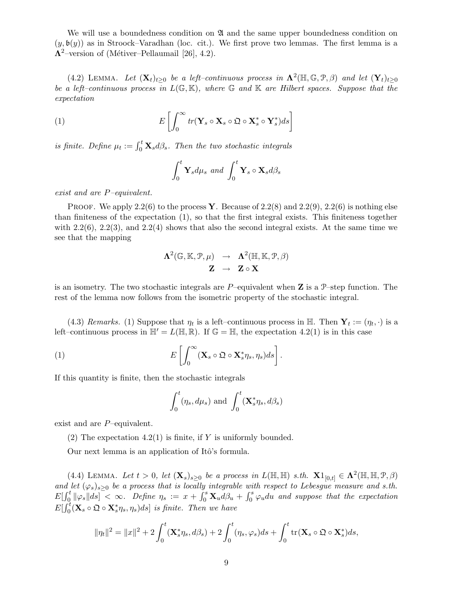We will use a boundedness condition on  $\mathfrak A$  and the same upper boundedness condition on  $(y, \mathfrak{b}(y))$  as in Stroock–Varadhan (loc. cit.). We first prove two lemmas. The first lemma is a  $\Lambda^2$ -version of (Métiver–Pellaumail [26], 4.2).

(4.2) LEMMA. Let  $(\mathbf{X}_t)_{t\geq0}$  be a left-continuous process in  $\Lambda^2(\mathbb{H},\mathbb{G},\mathcal{P},\beta)$  and let  $(\mathbf{Y}_t)_{t\geq0}$ be a left-continuous process in  $L(\mathbb{G}, \mathbb{K})$ , where  $\mathbb G$  and  $\mathbb K$  are Hilbert spaces. Suppose that the expectation

(1) 
$$
E\left[\int_0^\infty tr(\mathbf{Y}_s \circ \mathbf{X}_s \circ \mathfrak{Q} \circ \mathbf{X}_s^* \circ \mathbf{Y}_s^*) ds\right]
$$

is finite. Define  $\mu_t := \int_0^t \mathbf{X}_s d\beta_s$ . Then the two stochastic integrals

$$
\int_0^t \mathbf{Y}_s d\mu_s \text{ and } \int_0^t \mathbf{Y}_s \circ \mathbf{X}_s d\beta_s
$$

exist and are P–equivalent.

PROOF. We apply 2.2(6) to the process Y. Because of 2.2(8) and 2.2(9), 2.2(6) is nothing else than finiteness of the expectation (1), so that the first integral exists. This finiteness together with  $2.2(6)$ ,  $2.2(3)$ , and  $2.2(4)$  shows that also the second integral exists. At the same time we see that the mapping

$$
\begin{array}{rcl}\n\mathbf{\Lambda}^{2}(\mathbb{G},\mathbb{K},\mathcal{P},\mu) & \rightarrow & \mathbf{\Lambda}^{2}(\mathbb{H},\mathbb{K},\mathcal{P},\beta) \\
\mathbf{Z} & \rightarrow & \mathbf{Z} \circ \mathbf{X}\n\end{array}
$$

is an isometry. The two stochastic integrals are  $P$ -equivalent when **Z** is a  $\mathcal{P}$ -step function. The rest of the lemma now follows from the isometric property of the stochastic integral.

(4.3) Remarks. (1) Suppose that  $\eta_t$  is a left-continuous process in  $\mathbb{H}$ . Then  $\mathbf{Y}_t := (\eta_t, \cdot)$  is a left–continuous process in  $\mathbb{H}' = L(\mathbb{H}, \mathbb{R})$ . If  $\mathbb{G} = \mathbb{H}$ , the expectation 4.2(1) is in this case

(1) 
$$
E\left[\int_0^\infty (\mathbf{X}_s \circ \mathfrak{Q} \circ \mathbf{X}_s^* \eta_s, \eta_s) ds\right].
$$

If this quantity is finite, then the stochastic integrals

$$
\int_0^t (\eta_s, d\mu_s) \text{ and } \int_0^t (\mathbf{X}_s^* \eta_s, d\beta_s)
$$

exist and are P–equivalent.

(2) The expectation 4.2(1) is finite, if Y is uniformly bounded.

Our next lemma is an application of Itô's formula.

(4.4) LEMMA. Let  $t > 0$ , let  $(\mathbf{X}_s)_{s \geq 0}$  be a process in  $L(\mathbb{H}, \mathbb{H})$  s.th.  $\mathbf{X} 1_{[0,t]} \in \Lambda^2(\mathbb{H}, \mathbb{H}, \mathcal{P}, \beta)$ and let  $(\varphi_s)_{s\geq0}$  be a process that is locally integrable with respect to Lebesgue measure and s.th.  $E[\int_0^t ||\varphi_s|| ds] < \infty$ . Define  $\eta_s := x + \int_0^s \mathbf{X}_u d\beta_u + \int_0^s \varphi_u du$  and suppose that the expectation  $E[\int_0^t (\mathbf{X}_s \circ \mathfrak{Q} \circ \mathbf{X}_s^* \eta_s, \eta_s) ds]$  is finite. Then we have

$$
\|\eta_t\|^2 = \|x\|^2 + 2\int_0^t (\mathbf{X}_s^*\eta_s, d\beta_s) + 2\int_0^t (\eta_s, \varphi_s)ds + \int_0^t \text{tr}(\mathbf{X}_s \circ \mathfrak{Q} \circ \mathbf{X}_s^*)ds,
$$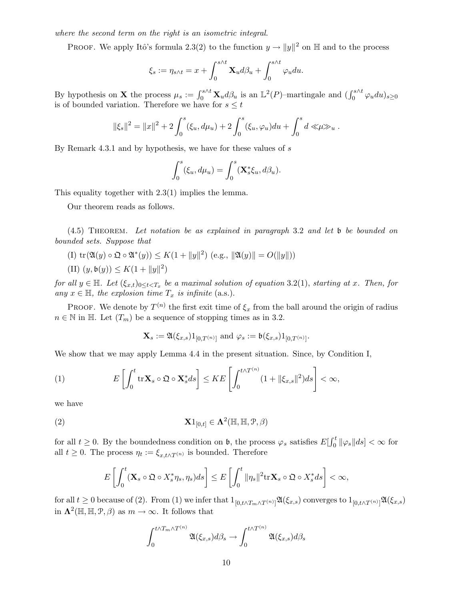where the second term on the right is an isometric integral.

PROOF. We apply Itô's formula 2.3(2) to the function  $y \to ||y||^2$  on  $\mathbb H$  and to the process

$$
\xi_s:=\eta_{s\wedge t}=x+\int_0^{s\wedge t}\mathbf{X}_ud\beta_u+\int_0^{s\wedge t}\varphi_udu.
$$

By hypothesis on **X** the process  $\mu_s := \int_0^{s \wedge t} \mathbf{X}_u d\beta_u$  is an  $\mathbb{L}^2(P)$ -martingale and  $(\int_0^{s \wedge t} \varphi_u du)_{s \geq 0}$ is of bounded variation. Therefore we have for  $s \leq t$ 

$$
\|\xi_s\|^2 = \|x\|^2 + 2\int_0^s (\xi_u, d\mu_u) + 2\int_0^s (\xi_u, \varphi_u) du + \int_0^s d\ll \mu \gg u.
$$

By Remark 4.3.1 and by hypothesis, we have for these values of s

$$
\int_0^s (\xi_u, d\mu_u) = \int_0^s (\mathbf{X}_s^* \xi_u, d\beta_u).
$$

This equality together with 2.3(1) implies the lemma.

Our theorem reads as follows.

(4.5) Theorem. Let notation be as explained in paragraph 3.2 and let b be bounded on bounded sets. Suppose that

(I)  $\text{tr}(\mathfrak{A}(y) \circ \mathfrak{Q} \circ \mathfrak{A}^*(y)) \leq K(1 + ||y||^2) \text{ (e.g., } ||\mathfrak{A}(y)|| = O(||y||)$ (II)  $(y, \mathfrak{b}(y)) \leq K(1 + ||y||^2)$ 

for all  $y \in \mathbb{H}$ . Let  $(\xi_{x,t})_{0 \le t < T_x}$  be a maximal solution of equation 3.2(1), starting at x. Then, for any  $x \in \mathbb{H}$ , the explosion time  $T_x$  is infinite (a.s.).

PROOF. We denote by  $T^{(n)}$  the first exit time of  $\xi_x$  from the ball around the origin of radius  $n \in \mathbb{N}$  in H. Let  $(T_m)$  be a sequence of stopping times as in 3.2.

$$
\mathbf{X}_s := \mathfrak{A}(\xi_{x,s}) 1_{[0,T^{(n)}]} \text{ and } \varphi_s := \mathfrak{b}(\xi_{x,s}) 1_{[0,T^{(n)}]}.
$$

We show that we may apply Lemma 4.4 in the present situation. Since, by Condition I,

(1) 
$$
E\left[\int_0^t \mathrm{tr}\mathbf{X}_s \circ \mathfrak{Q} \circ \mathbf{X}_s^* ds\right] \leq KE\left[\int_0^{t \wedge T^{(n)}} (1 + ||\xi_{x,s}||^2) ds\right] < \infty,
$$

we have

(2) 
$$
\mathbf{X}1_{[0,t]} \in \Lambda^2(\mathbb{H}, \mathbb{H}, \mathcal{P}, \beta)
$$

for all  $t \geq 0$ . By the boundedness condition on **b**, the process  $\varphi_s$  satisfies  $E[\int_0^t ||\varphi_s|| ds] < \infty$  for all  $t \geq 0$ . The process  $\eta_t := \xi_{x,t \wedge T^{(n)}}$  is bounded. Therefore

$$
E\left[\int_0^t (\mathbf{X}_s \circ \mathfrak{Q} \circ X_s^* \eta_s, \eta_s) ds\right] \leq E\left[\int_0^t \|\eta_s\|^2 \mathrm{tr} \mathbf{X}_s \circ \mathfrak{Q} \circ X_s^* ds\right] < \infty,
$$

for all  $t \geq 0$  because of (2). From (1) we infer that  $1_{[0,t \wedge T_m \wedge T^{(n)}]} \mathfrak{A}(\xi_{x,s})$  converges to  $1_{[0,t \wedge T^{(n)}]} \mathfrak{A}(\xi_{x,s})$ in  $\Lambda^2(\mathbb{H}, \mathbb{H}, \mathcal{P}, \beta)$  as  $m \to \infty$ . It follows that

$$
\int_0^{t \wedge T_m \wedge T^{(n)}} \mathfrak{A}(\xi_{x,s}) d\beta_s \to \int_0^{t \wedge T^{(n)}} \mathfrak{A}(\xi_{x,s}) d\beta_s
$$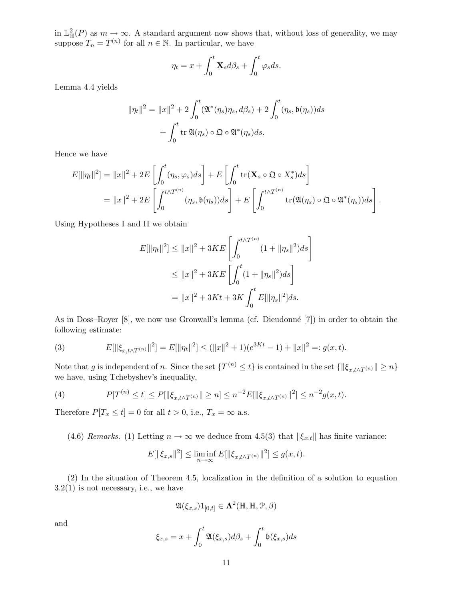in  $\mathbb{L}^2_{\mathbb{H}}(P)$  as  $m \to \infty$ . A standard argument now shows that, without loss of generality, we may suppose  $T_n = T^{(n)}$  for all  $n \in \mathbb{N}$ . In particular, we have

$$
\eta_t = x + \int_0^t \mathbf{X}_s d\beta_s + \int_0^t \varphi_s ds.
$$

Lemma 4.4 yields

$$
\|\eta_t\|^2 = \|x\|^2 + 2 \int_0^t (\mathfrak{A}^*(\eta_s)\eta_s, d\beta_s) + 2 \int_0^t (\eta_s, \mathfrak{b}(\eta_s))ds
$$

$$
+ \int_0^t \text{tr}\,\mathfrak{A}(\eta_s) \circ \mathfrak{Q} \circ \mathfrak{A}^*(\eta_s)ds.
$$

Hence we have

$$
E[\|\eta_t\|^2] = \|x\|^2 + 2E\left[\int_0^t (\eta_s, \varphi_s) ds\right] + E\left[\int_0^t \text{tr}(\mathbf{X}_s \circ \mathfrak{Q} \circ X_s^*) ds\right]
$$
  
=  $\|x\|^2 + 2E\left[\int_0^{t \wedge T^{(n)}} (\eta_s, \mathfrak{b}(\eta_s)) ds\right] + E\left[\int_0^{t \wedge T^{(n)}} \text{tr}(\mathfrak{A}(\eta_s) \circ \mathfrak{Q} \circ \mathfrak{A}^*(\eta_s)) ds\right].$ 

Using Hypotheses I and II we obtain

$$
E[\|\eta_t\|^2] \leq \|x\|^2 + 3KE \left[ \int_0^{t \wedge T^{(n)}} (1 + \|\eta_s\|^2) ds \right]
$$
  

$$
\leq \|x\|^2 + 3KE \left[ \int_0^t (1 + \|\eta_s\|^2) ds \right]
$$
  

$$
= \|x\|^2 + 3Kt + 3K \int_0^t E[\|\eta_s\|^2] ds.
$$

As in Doss–Royer [8], we now use Gronwall's lemma (cf. Dieudonné [7]) in order to obtain the following estimate:

(3) 
$$
E[\|\xi_{x,t\wedge T^{(n)}}\|^2] = E[\|\eta_t\|^2] \le (\|x\|^2 + 1)(e^{3Kt} - 1) + \|x\|^2 =: g(x,t).
$$

Note that g is independent of n. Since the set  $\{T^{(n)} \leq t\}$  is contained in the set  $\{\|\xi_{x,t\wedge T^{(n)}}\| \geq n\}$ we have, using Tchebyshev's inequality,

(4) 
$$
P[T^{(n)} \le t] \le P[\|\xi_{x,t\wedge T^{(n)}}\| \ge n] \le n^{-2}E[\|\xi_{x,t\wedge T^{(n)}}\|^2] \le n^{-2}g(x,t).
$$

Therefore  $P[T_x \le t] = 0$  for all  $t > 0$ , i.e.,  $T_x = \infty$  a.s.

(4.6) Remarks. (1) Letting  $n \to \infty$  we deduce from 4.5(3) that  $\|\xi_{x,t}\|$  has finite variance:

$$
E[\|\xi_{x,s}\|^2] \le \liminf_{n \to \infty} E[\|\xi_{x,t \wedge T^{(n)}}\|^2] \le g(x,t).
$$

(2) In the situation of Theorem 4.5, localization in the definition of a solution to equation  $3.2(1)$  is not necessary, i.e., we have

$$
{\mathfrak A}(\xi_{x,s}) 1_{[0,t]} \in \boldsymbol{\Lambda}^2({\mathbb H}, {\mathbb H}, {\mathcal P}, \beta)
$$

and

$$
\xi_{x,s} = x + \int_0^t \mathfrak{A}(\xi_{x,s}) d\beta_s + \int_0^t \mathfrak{b}(\xi_{x,s}) ds
$$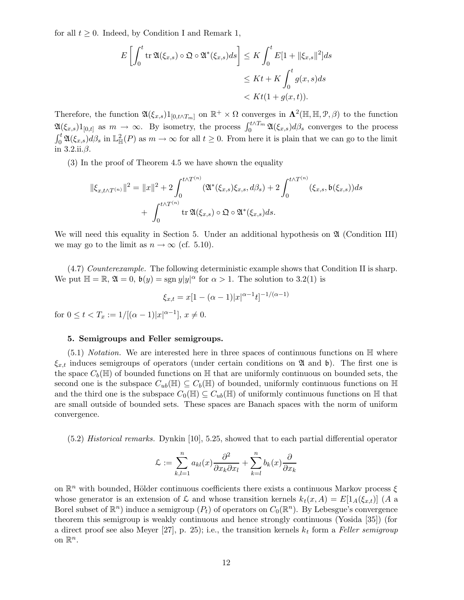for all  $t \geq 0$ . Indeed, by Condition I and Remark 1,

$$
E\left[\int_0^t \operatorname{tr} \mathfrak{A}(\xi_{x,s}) \circ \mathfrak{Q} \circ \mathfrak{A}^*(\xi_{x,s}) ds\right] \leq K \int_0^t E[1 + ||\xi_{x,s}||^2] ds
$$
  

$$
\leq Kt + K \int_0^t g(x,s) ds
$$
  

$$
< Kt(1 + g(x,t)).
$$

Therefore, the function  $\mathfrak{A}(\xi_{x,s})1_{[0,t\wedge T_m]}$  on  $\mathbb{R}^+\times\Omega$  converges in  $\Lambda^2(\mathbb{H},\mathbb{H},\mathcal{P},\beta)$  to the function  $\mathfrak{A}(\xi_{x,s})1_{[0,t]}$  as  $m \to \infty$ . By isometry, the process  $\int_0^{t \wedge T_m} \mathfrak{A}(\xi_{x,s}) d\beta_s$  converges to the process  $\int_0^t \mathfrak{A}(\xi_{x,s})d\beta_s$  in  $\mathbb{L}^2_{\mathbb{H}}(P)$  as  $m \to \infty$  for all  $t \geq 0$ . From here it is plain that we can go to the limit in  $3.2$ .ii. $\beta$ .

(3) In the proof of Theorem 4.5 we have shown the equality

$$
\|\xi_{x,t\wedge T^{(n)}}\|^2 = \|x\|^2 + 2\int_0^{t\wedge T^{(n)}} (\mathfrak{A}^*(\xi_{x,s})\xi_{x,s}, d\beta_s) + 2\int_0^{t\wedge T^{(n)}} (\xi_{x,s}, \mathfrak{b}(\xi_{x,s}))ds + \int_0^{t\wedge T^{(n)}} \operatorname{tr} \mathfrak{A}(\xi_{x,s}) \circ \mathfrak{Q} \circ \mathfrak{A}^*(\xi_{x,s})ds.
$$

We will need this equality in Section 5. Under an additional hypothesis on  $\mathfrak A$  (Condition III) we may go to the limit as  $n \to \infty$  (cf. 5.10).

(4.7) Counterexample. The following deterministic example shows that Condition II is sharp. We put  $\mathbb{H} = \mathbb{R}, \mathfrak{A} = 0, \mathfrak{b}(y) = \text{sgn } y|y|^{\alpha}$  for  $\alpha > 1$ . The solution to 3.2(1) is

$$
\xi_{x,t} = x[1 - (\alpha - 1)|x|^{\alpha - 1}t]^{-1/(\alpha - 1)}
$$

for  $0 \le t < T_x := 1/[(\alpha - 1)|x|^{\alpha - 1}], x \ne 0.$ 

### 5. Semigroups and Feller semigroups.

 $(5.1)$  *Notation.* We are interested here in three spaces of continuous functions on  $\mathbb{H}$  where  $\xi_{x,t}$  induces semigroups of operators (under certain conditions on  $\mathfrak A$  and  $\mathfrak b$ ). The first one is the space  $C_b(\mathbb{H})$  of bounded functions on  $\mathbb{H}$  that are uniformly continuous on bounded sets, the second one is the subspace  $C_{ub}(\mathbb{H}) \subseteq C_b(\mathbb{H})$  of bounded, uniformly continuous functions on  $\mathbb{H}$ and the third one is the subspace  $C_0(\mathbb{H}) \subseteq C_{ub}(\mathbb{H})$  of uniformly continuous functions on  $\mathbb{H}$  that are small outside of bounded sets. These spaces are Banach spaces with the norm of uniform convergence.

(5.2) Historical remarks. Dynkin [10], 5.25, showed that to each partial differential operator

$$
\mathcal{L} := \sum_{k,l=1}^n a_{kl}(x) \frac{\partial^2}{\partial x_k \partial x_l} + \sum_{k=l}^n b_k(x) \frac{\partial}{\partial x_k}
$$

on  $\mathbb{R}^n$  with bounded, Hölder continuous coefficients there exists a continuous Markov process  $\xi$ whose generator is an extension of L and whose transition kernels  $k_t(x, A) = E[1_A(\xi_{x,t})]$  (A a Borel subset of  $\mathbb{R}^n$ ) induce a semigroup  $(P_t)$  of operators on  $C_0(\mathbb{R}^n)$ . By Lebesgue's convergence theorem this semigroup is weakly continuous and hence strongly continuous (Yosida [35]) (for a direct proof see also Meyer [27], p. 25); i.e., the transition kernels  $k_t$  form a Feller semigroup on  $\mathbb{R}^n$ .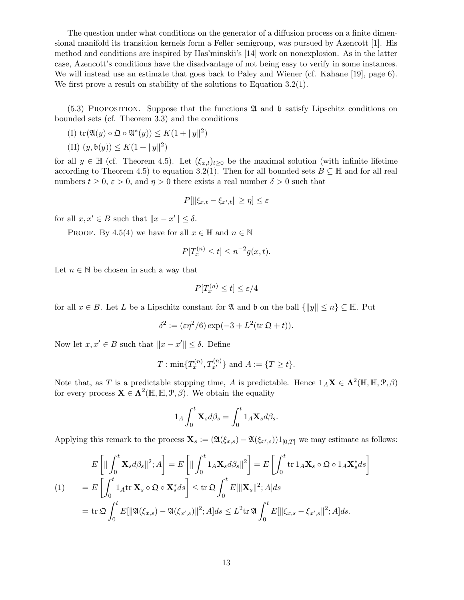The question under what conditions on the generator of a diffusion process on a finite dimensional manifold its transition kernels form a Feller semigroup, was pursued by Azencott [1]. His method and conditions are inspired by Has'minskii's [14] work on nonexplosion. As in the latter case, Azencott's conditions have the disadvantage of not being easy to verify in some instances. We will instead use an estimate that goes back to Paley and Wiener (cf. Kahane [19], page 6). We first prove a result on stability of the solutions to Equation 3.2(1).

 $(5.3)$  PROPOSITION. Suppose that the functions  $\mathfrak A$  and  $\mathfrak b$  satisfy Lipschitz conditions on bounded sets (cf. Theorem 3.3) and the conditions

(I) 
$$
\text{tr}(\mathfrak{A}(y) \circ \mathfrak{Q} \circ \mathfrak{A}^*(y)) \leq K(1 + ||y||^2)
$$

(II) 
$$
(y, \mathfrak{b}(y)) \leq K(1 + ||y||^2)
$$

for all  $y \in \mathbb{H}$  (cf. Theorem 4.5). Let  $(\xi_{x,t})_{t\geq0}$  be the maximal solution (with infinite lifetime according to Theorem 4.5) to equation 3.2(1). Then for all bounded sets  $B \subseteq \mathbb{H}$  and for all real numbers  $t \geq 0$ ,  $\varepsilon > 0$ , and  $\eta > 0$  there exists a real number  $\delta > 0$  such that

$$
P[\|\xi_{x,t} - \xi_{x',t}\| \ge \eta] \le \varepsilon
$$

for all  $x, x' \in B$  such that  $||x - x'|| \leq \delta$ .

PROOF. By 4.5(4) we have for all  $x \in \mathbb{H}$  and  $n \in \mathbb{N}$ 

$$
P[T_x^{(n)} \le t] \le n^{-2}g(x,t).
$$

Let  $n \in \mathbb{N}$  be chosen in such a way that

$$
P[T_x^{(n)} \le t] \le \varepsilon/4
$$

for all  $x \in B$ . Let L be a Lipschitz constant for  $\mathfrak{A}$  and b on the ball  $\{||y|| \leq n\} \subseteq \mathbb{H}$ . Put

$$
\delta^2 := (\varepsilon \eta^2 / 6) \exp(-3 + L^2(\text{tr }\mathfrak{Q} + t)).
$$

Now let  $x, x' \in B$  such that  $||x - x'|| \leq \delta$ . Define

$$
T: \min\{T_x^{(n)}, T_{x'}^{(n)}\} \text{ and } A:=\{T \ge t\}.
$$

Note that, as T is a predictable stopping time, A is predictable. Hence  $1_A\mathbf{X} \in \Lambda^2(\mathbb{H}, \mathbb{H}, \mathcal{P}, \beta)$ for every process  $\mathbf{X} \in \Lambda^2(\mathbb{H}, \mathbb{H}, \mathcal{P}, \beta)$ . We obtain the equality

$$
1_A \int_0^t \mathbf{X}_s d\beta_s = \int_0^t 1_A \mathbf{X}_s d\beta_s.
$$

Applying this remark to the process  $\mathbf{X}_s := (\mathfrak{A}(\xi_{x,s}) - \mathfrak{A}(\xi_{x',s}))1_{[0,T]}$  we may estimate as follows:

$$
E\left[\|\int_0^t \mathbf{X}_s d\beta_s\|^2; A\right] = E\left[\|\int_0^t 1_A \mathbf{X}_s d\beta_s\|^2\right] = E\left[\int_0^t \text{tr } 1_A \mathbf{X}_s \circ \mathfrak{Q} \circ 1_A \mathbf{X}_s^* ds\right]
$$
  
\n
$$
(1) \qquad = E\left[\int_0^t 1_A \text{tr } \mathbf{X}_s \circ \mathfrak{Q} \circ \mathbf{X}_s^* ds\right] \leq \text{tr } \mathfrak{Q} \int_0^t E[\|\mathbf{X}_s\|^2; A] ds
$$
  
\n
$$
= \text{tr } \mathfrak{Q} \int_0^t E[\|\mathfrak{A}(\xi_{x,s}) - \mathfrak{A}(\xi_{x',s})\|^2; A] ds \leq L^2 \text{tr } \mathfrak{A} \int_0^t E[\|\xi_{x,s} - \xi_{x',s}\|^2; A] ds.
$$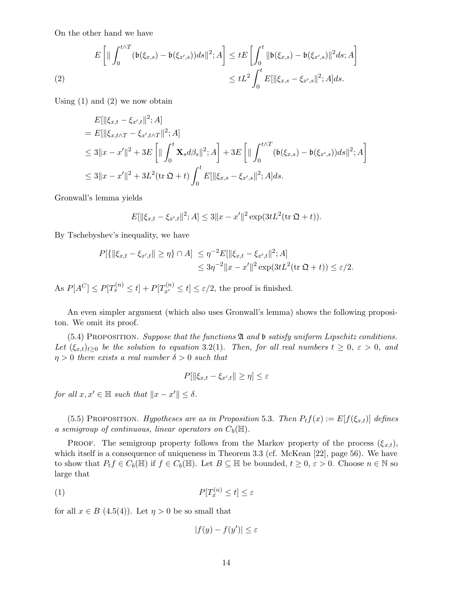On the other hand we have

$$
E\left[\|\int_0^{t\wedge T} (\mathfrak{b}(\xi_{x,s}) - \mathfrak{b}(\xi_{x',s}))ds\|^2; A\right] \le tE\left[\int_0^t \|\mathfrak{b}(\xi_{x,s}) - \mathfrak{b}(\xi_{x',s})\|^2 ds; A\right]
$$
  
(2)  

$$
\le tL^2 \int_0^t E[\|\xi_{x,s} - \xi_{x',s}\|^2; A]ds.
$$

Using  $(1)$  and  $(2)$  we now obtain

$$
E[\|\xi_{x,t} - \xi_{x',t}\|^2; A]
$$
  
=  $E[\|\xi_{x,t \wedge T} - \xi_{x',t \wedge T}\|^2; A]$   

$$
\leq 3\|x - x'\|^2 + 3E\left[\|\int_0^t \mathbf{X}_s d\beta_s\|^2; A\right] + 3E\left[\|\int_0^{t \wedge T} (\mathfrak{b}(\xi_{x,s}) - \mathfrak{b}(\xi_{x',s}))ds\|^2; A\right]
$$
  

$$
\leq 3\|x - x'\|^2 + 3L^2(\text{tr }\mathfrak{Q} + t) \int_0^t E[\|\xi_{x,s} - \xi_{x',s}\|^2; A]ds.
$$

Gronwall's lemma yields

$$
E[\|\xi_{x,t} - \xi_{x',t}\|^2; A] \le 3\|x - x'\|^2 \exp(3tL^2(\text{tr }\mathfrak{Q} + t)).
$$

By Tschebyshev's inequality, we have

$$
P[\{\|\xi_{x,t} - \xi_{x',t}\| \ge \eta\} \cap A] \le \eta^{-2} E[\|\xi_{x,t} - \xi_{x',t}\|^2; A] \\ \le 3\eta^{-2} \|x - x'\|^2 \exp(3tL^2(\text{tr }\mathfrak{Q} + t)) \le \varepsilon/2.
$$

As  $P[A^C] \le P[T_x^{(n)} \le t] + P[T_{x'}^{(n)} \le t] \le \varepsilon/2$ , the proof is finished.

An even simpler argument (which also uses Gronwall's lemma) shows the following propositon. We omit its proof.

(5.4) PROPOSITION. Suppose that the functions  $\mathfrak A$  and  $\mathfrak b$  satisfy uniform Lipschitz conditions. Let  $(\xi_{x,t})_{t\geq0}$  be the solution to equation 3.2(1). Then, for all real numbers  $t\geq0, \varepsilon>0,$  and  $\eta > 0$  there exists a real number  $\delta > 0$  such that

$$
P[\|\xi_{x,t} - \xi_{x',t}\| \ge \eta] \le \varepsilon
$$

for all  $x, x' \in \mathbb{H}$  such that  $||x - x'|| \leq \delta$ .

(5.5) PROPOSITION. Hypotheses are as in Proposition 5.3. Then  $P_t f(x) := E[f(\xi_{x,t})]$  defines a semigroup of continuous, linear operators on  $C_b(\mathbb{H})$ .

**PROOF.** The semigroup property follows from the Markov property of the process  $(\xi_{x,t})$ , which itself is a consequence of uniqueness in Theorem 3.3 (cf. McKean [22], page 56). We have to show that  $P_t f \in C_b(\mathbb{H})$  if  $f \in C_b(\mathbb{H})$ . Let  $B \subseteq \mathbb{H}$  be bounded,  $t \geq 0$ ,  $\varepsilon > 0$ . Choose  $n \in \mathbb{N}$  so large that

$$
(1) \t\t P[T_x^{(n)} \le t] \le \varepsilon
$$

for all  $x \in B(4.5(4))$ . Let  $\eta > 0$  be so small that

 $|f(y) - f(y')| \leq \varepsilon$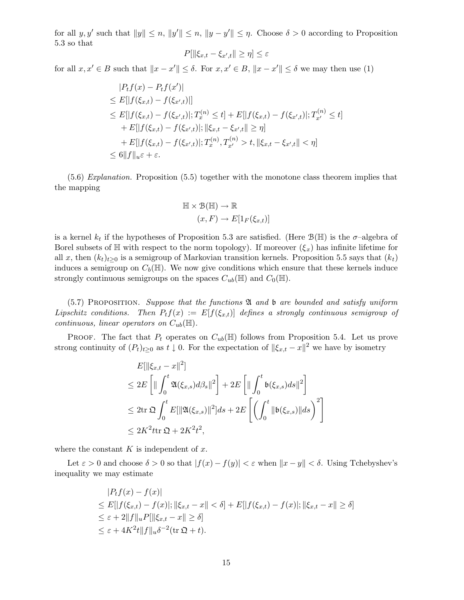for all  $y, y'$  such that  $||y|| \leq n$ ,  $||y'|| \leq n$ ,  $||y - y'|| \leq \eta$ . Choose  $\delta > 0$  according to Proposition 5.3 so that

$$
P[\|\xi_{x,t} - \xi_{x',t}\| \ge \eta] \le \varepsilon
$$

for all  $x, x' \in B$  such that  $||x - x'|| \le \delta$ . For  $x, x' \in B$ ,  $||x - x'|| \le \delta$  we may then use (1)

$$
|P_t f(x) - P_t f(x')|
$$
  
\n
$$
\leq E[|f(\xi_{x,t}) - f(\xi_{x',t})|]
$$
  
\n
$$
\leq E[|f(\xi_{x,t}) - f(\xi_{x',t})|; T_x^{(n)} \leq t] + E[|f(\xi_{x,t}) - f(\xi_{x',t})|; T_{x'}^{(n)} \leq t]
$$
  
\n
$$
+ E[|f(\xi_{x,t}) - f(\xi_{x',t})|; ||\xi_{x,t} - \xi_{x',t}|| \geq \eta]
$$
  
\n
$$
+ E[|f(\xi_{x,t}) - f(\xi_{x',t})|; T_x^{(n)}, T_{x'}^{(n)} > t, ||\xi_{x,t} - \xi_{x',t}|| < \eta]
$$
  
\n
$$
\leq 6||f||_{u\epsilon} + \epsilon.
$$

(5.6) Explanation. Proposition (5.5) together with the monotone class theorem implies that the mapping

$$
\mathbb{H} \times \mathcal{B}(\mathbb{H}) \to \mathbb{R}
$$

$$
(x, F) \to E[1_F(\xi_{x,t})]
$$

is a kernel  $k_t$  if the hypotheses of Proposition 5.3 are satisfied. (Here  $\mathcal{B}(\mathbb{H})$  is the  $\sigma$ -algebra of Borel subsets of  $\mathbb H$  with respect to the norm topology). If moreover  $(\xi_x)$  has infinite lifetime for all x, then  $(k_t)_{t\geq0}$  is a semigroup of Markovian transition kernels. Proposition 5.5 says that  $(k_t)$ induces a semigroup on  $C_b(\mathbb{H})$ . We now give conditions which ensure that these kernels induce strongly continuous semigroups on the spaces  $C_{ub}(\mathbb{H})$  and  $C_0(\mathbb{H})$ .

 $(5.7)$  PROPOSITION. Suppose that the functions  $\mathfrak A$  and  $\mathfrak b$  are bounded and satisfy uniform Lipschitz conditions. Then  $P_tf(x) := E[f(\xi_{x,t})]$  defines a strongly continuous semigroup of continuous, linear operators on  $C_{ub}(\mathbb{H})$ .

PROOF. The fact that  $P_t$  operates on  $C_{ub}(\mathbb{H})$  follows from Proposition 5.4. Let us prove strong continuity of  $(P_t)_{t\geq 0}$  as  $t \downarrow 0$ . For the expectation of  $\|\xi_{x,t} - x\|^2$  we have by isometry

$$
E[\|\xi_{x,t} - x\|^2]
$$
  
\n
$$
\leq 2E\left[\|\int_0^t \mathfrak{A}(\xi_{x,s})d\beta_s\|^2\right] + 2E\left[\|\int_0^t \mathfrak{b}(\xi_{x,s})ds\|^2\right]
$$
  
\n
$$
\leq 2\text{tr }\mathfrak{Q}\int_0^t E[\|\mathfrak{A}(\xi_{x,s})\|^2]ds + 2E\left[\left(\int_0^t \|\mathfrak{b}(\xi_{x,s})\|ds\right)^2\right]
$$
  
\n
$$
\leq 2K^2\text{tr }\mathfrak{Q} + 2K^2t^2,
$$

where the constant  $K$  is independent of  $x$ .

Let  $\varepsilon > 0$  and choose  $\delta > 0$  so that  $|f(x) - f(y)| < \varepsilon$  when  $||x - y|| < \delta$ . Using Tchebyshev's inequality we may estimate

$$
|P_t f(x) - f(x)|
$$
  
\n
$$
\leq E[|f(\xi_{x,t}) - f(x)|; ||\xi_{x,t} - x|| < \delta] + E[|f(\xi_{x,t}) - f(x)|; ||\xi_{x,t} - x|| \geq \delta]
$$
  
\n
$$
\leq \varepsilon + 2||f||_u P[||\xi_{x,t} - x|| \geq \delta]
$$
  
\n
$$
\leq \varepsilon + 4K^2 t ||f||_u \delta^{-2} (\text{tr } \mathfrak{Q} + t).
$$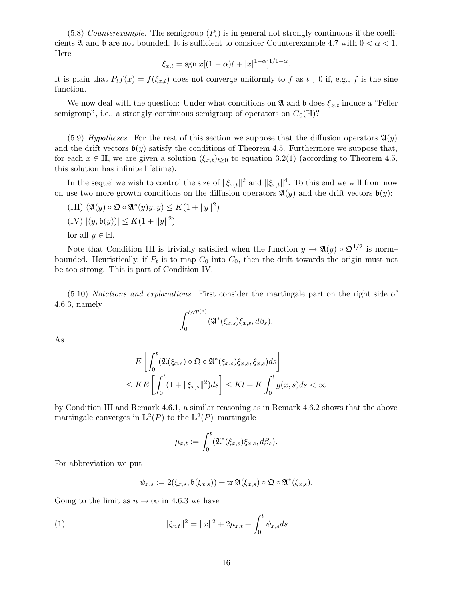(5.8) Counterexample. The semigroup  $(P_t)$  is in general not strongly continuous if the coefficients  $\mathfrak A$  and  $\mathfrak b$  are not bounded. It is sufficient to consider Counterexample 4.7 with  $0 < \alpha < 1$ . Here

$$
\xi_{x,t} = \text{sgn}\, x[(1-\alpha)t + |x|^{1-\alpha}]^{1/1-\alpha}.
$$

It is plain that  $P_t f(x) = f(\xi_{x,t})$  does not converge uniformly to f as  $t \downarrow 0$  if, e.g., f is the sine function.

We now deal with the question: Under what conditions on  $\mathfrak A$  and  $\mathfrak b$  does  $\xi_{x,t}$  induce a "Feller semigroup", i.e., a strongly continuous semigroup of operators on  $C_0(\mathbb{H})$ ?

(5.9) Hypotheses. For the rest of this section we suppose that the diffusion operators  $\mathfrak{A}(y)$ and the drift vectors  $\mathfrak{b}(y)$  satisfy the conditions of Theorem 4.5. Furthermore we suppose that, for each  $x \in \mathbb{H}$ , we are given a solution  $(\xi_{x,t})_{t>0}$  to equation 3.2(1) (according to Theorem 4.5, this solution has infinite lifetime).

In the sequel we wish to control the size of  $\|\xi_{x,t}\|^2$  and  $\|\xi_{x,t}\|^4$ . To this end we will from now on use two more growth conditions on the diffusion operators  $\mathfrak{A}(y)$  and the drift vectors  $\mathfrak{b}(y)$ :

- (III)  $(\mathfrak{A}(y) \circ \mathfrak{Q} \circ \mathfrak{A}^*(y)y, y) \leq K(1 + ||y||^2)$
- $(IV) |(y, \mathfrak{b}(y))| \leq K(1 + ||y||^2)$

for all  $y \in \mathbb{H}$ .

Note that Condition III is trivially satisfied when the function  $y \to \mathfrak{A}(y) \circ \mathfrak{Q}^{1/2}$  is normbounded. Heuristically, if  $P_t$  is to map  $C_0$  into  $C_0$ , then the drift towards the origin must not be too strong. This is part of Condition IV.

(5.10) Notations and explanations. First consider the martingale part on the right side of 4.6.3, namely

$$
\int_0^{t \wedge T^{(n)}} (\mathfrak{A}^*(\xi_{x,s}) \xi_{x,s}, d\beta_s).
$$

As

$$
E\left[\int_0^t (\mathfrak{A}(\xi_{x,s}) \circ \mathfrak{Q} \circ \mathfrak{A}^*(\xi_{x,s}) \xi_{x,s}, \xi_{x,s}) ds\right]
$$
  

$$
\leq KE\left[\int_0^t (1 + \|\xi_{x,s}\|^2) ds\right] \leq Kt + K \int_0^t g(x,s) ds < \infty
$$

by Condition III and Remark 4.6.1, a similar reasoning as in Remark 4.6.2 shows that the above martingale converges in  $\mathbb{L}^2(P)$  to the  $\mathbb{L}^2(P)$ -martingale

$$
\mu_{x,t} := \int_0^t (\mathfrak{A}^*(\xi_{x,s})\xi_{x,s}, d\beta_s).
$$

For abbreviation we put

$$
\psi_{x,s}:=2(\xi_{x,s},\mathfrak{b}(\xi_{x,s}))+\mathrm{tr}\,\mathfrak{A}(\xi_{x,s})\circ\mathfrak{Q}\circ\mathfrak{A}^*(\xi_{x,s}).
$$

Going to the limit as  $n \to \infty$  in 4.6.3 we have

(1) 
$$
\|\xi_{x,t}\|^2 = \|x\|^2 + 2\mu_{x,t} + \int_0^t \psi_{x,s} ds
$$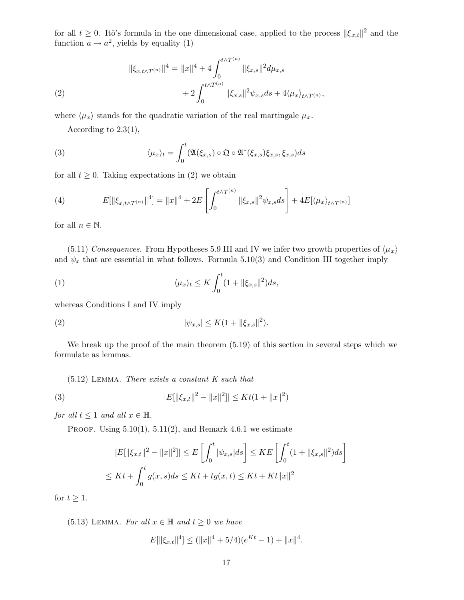for all  $t \geq 0$ . Itô's formula in the one dimensional case, applied to the process  $\|\xi_{x,t}\|^2$  and the function  $a \to a^2$ , yields by equality (1)

(2)  
\n
$$
\|\xi_{x,t\wedge T^{(n)}}\|^4 = \|x\|^4 + 4 \int_0^{t\wedge T^{(n)}} \|\xi_{x,s}\|^2 d\mu_{x,s} \n+ 2 \int_0^{t\wedge T^{(n)}} \|\xi_{x,s}\|^2 \psi_{x,s} ds + 4 \langle \mu_x \rangle_{t\wedge T^{(n)}},
$$

where  $\langle \mu_x \rangle$  stands for the quadratic variation of the real martingale  $\mu_x$ .

According to 2.3(1),

(3) 
$$
\langle \mu_x \rangle_t = \int_0^t \langle \mathfrak{A}(\xi_{x,s}) \circ \mathfrak{Q} \circ \mathfrak{A}^*(\xi_{x,s}) \xi_{x,s}, \xi_{x,s} \rangle ds
$$

for all  $t \geq 0$ . Taking expectations in (2) we obtain

(4) 
$$
E[\|\xi_{x,t\wedge T^{(n)}}\|^4] = \|x\|^4 + 2E\left[\int_0^{t\wedge T^{(n)}} \|\xi_{x,s}\|^2 \psi_{x,s} ds\right] + 4E[\langle \mu_x \rangle_{t\wedge T^{(n)}}]
$$

for all  $n \in \mathbb{N}$ .

(5.11) Consequences. From Hypotheses 5.9 III and IV we infer two growth properties of  $\langle \mu_x \rangle$ and  $\psi_x$  that are essential in what follows. Formula 5.10(3) and Condition III together imply

(1) 
$$
\langle \mu_x \rangle_t \leq K \int_0^t (1 + ||\xi_{x,s}||^2) ds,
$$

whereas Conditions I and IV imply

(2) 
$$
|\psi_{x,s}| \leq K(1 + ||\xi_{x,s}||^2).
$$

We break up the proof of the main theorem (5.19) of this section in several steps which we formulate as lemmas.

(5.12) Lemma. There exists a constant K such that

(3) 
$$
|E[\|\xi_{x,t}\|^2 - \|x\|^2]| \le Kt(1 + \|x\|^2)
$$

for all  $t \leq 1$  and all  $x \in \mathbb{H}$ .

PROOF. Using  $5.10(1)$ ,  $5.11(2)$ , and Remark 4.6.1 we estimate

$$
|E[\|\xi_{x,t}\|^2 - \|x\|^2]|\leq E\left[\int_0^t |\psi_{x,s}|ds\right] \leq KE\left[\int_0^t (1 + \|\xi_{x,s}\|^2)ds\right]
$$
  

$$
\leq Kt + \int_0^t g(x,s)ds \leq Kt + tg(x,t) \leq Kt + Kt\|x\|^2
$$

for  $t \geq 1$ .

(5.13) LEMMA. For all  $x \in \mathbb{H}$  and  $t \geq 0$  we have

$$
E[\|\xi_{x,t}\|^4] \le (\|x\|^4 + 5/4)(e^{Kt} - 1) + \|x\|^4.
$$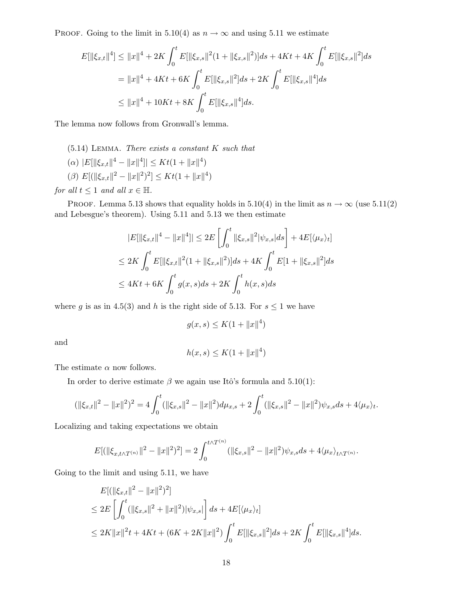PROOF. Going to the limit in 5.10(4) as  $n \to \infty$  and using 5.11 we estimate

$$
E[\|\xi_{x,t}\|^4] \le \|x\|^4 + 2K \int_0^t E[\|\xi_{x,s}\|^2 (1 + \|\xi_{x,s}\|^2)] ds + 4Kt + 4K \int_0^t E[\|\xi_{x,s}\|^2] ds
$$
  
=  $||x||^4 + 4Kt + 6K \int_0^t E[\|\xi_{x,s}\|^2] ds + 2K \int_0^t E[\|\xi_{x,s}\|^4] ds$   
 $\le ||x||^4 + 10Kt + 8K \int_0^t E[\|\xi_{x,s}\|^4] ds.$ 

The lemma now follows from Gronwall's lemma.

(5.14) Lemma. There exists a constant K such that

- $(\alpha)$   $|E[\|\xi_{x,t}\|^4 \|x\|^4] \leq Kt(1 + \|x\|^4)$
- ( $\beta$ )  $E[(\|\xi_{x,t}\|^2 \|x\|^2)^2] \leq Kt(1 + \|x\|^4)$

for all  $t \leq 1$  and all  $x \in \mathbb{H}$ .

PROOF. Lemma 5.13 shows that equality holds in 5.10(4) in the limit as  $n \to \infty$  (use 5.11(2) and Lebesgue's theorem). Using 5.11 and 5.13 we then estimate

$$
|E[\|\xi_{x,t}\|^4 - \|x\|^4]| \le 2E\left[\int_0^t \|\xi_{x,s}\|^2 |\psi_{x,s}| ds\right] + 4E[\langle \mu_x \rangle_t]
$$
  
\n
$$
\le 2K \int_0^t E[\|\xi_{x,t}\|^2 (1 + \|\xi_{x,s}\|^2)] ds + 4K \int_0^t E[1 + \|\xi_{x,s}\|^2] ds
$$
  
\n
$$
\le 4Kt + 6K \int_0^t g(x,s) ds + 2K \int_0^t h(x,s) ds
$$

where g is as in 4.5(3) and h is the right side of 5.13. For  $s \leq 1$  we have

$$
g(x, s) \le K(1 + \|x\|^4)
$$

and

$$
h(x, s) \le K(1 + \|x\|^4)
$$

The estimate  $\alpha$  now follows.

In order to derive estimate  $\beta$  we again use Itô's formula and 5.10(1):

$$
(\|\xi_{x,t}\|^2 - \|x\|^2)^2 = 4 \int_0^t (\|\xi_{x,s}\|^2 - \|x\|^2) d\mu_{x,s} + 2 \int_0^t (\|\xi_{x,s}\|^2 - \|x\|^2) \psi_{x,s} ds + 4 \langle \mu_x \rangle_t.
$$

Localizing and taking expectations we obtain

$$
E[(\|\xi_{x,t\wedge T^{(n)}}\|^2 - \|x\|^2)^2] = 2\int_0^{t\wedge T^{(n)}} (\|\xi_{x,s}\|^2 - \|x\|^2)\psi_{x,s}ds + 4\langle\mu_x\rangle_{t\wedge T^{(n)}}.
$$

Going to the limit and using 5.11, we have

$$
E[(\|\xi_{x,t}\|^2 - \|x\|^2)^2]
$$
  
\n
$$
\leq 2E\left[\int_0^t (\|\xi_{x,s}\|^2 + \|x\|^2)|\psi_{x,s}|\right]ds + 4E[\langle \mu_x \rangle_t]
$$
  
\n
$$
\leq 2K\|x\|^2t + 4Kt + (6K + 2K\|x\|^2) \int_0^t E[\|\xi_{x,s}\|^2]ds + 2K \int_0^t E[\|\xi_{x,s}\|^4]ds.
$$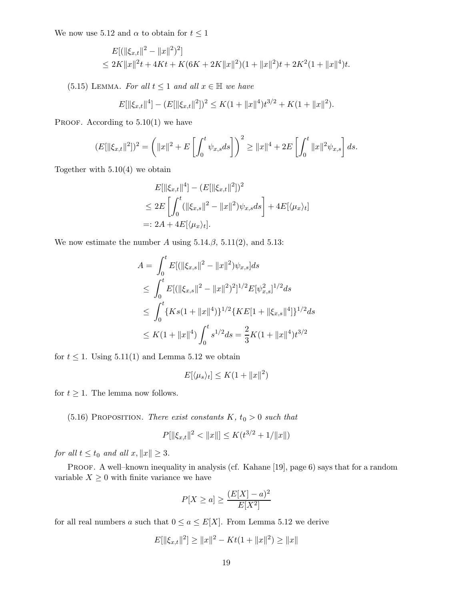We now use 5.12 and  $\alpha$  to obtain for  $t \leq 1$ 

$$
E[(\|\xi_{x,t}\|^2 - \|x\|^2)^2]
$$
  
\n
$$
\leq 2K\|x\|^2 t + 4Kt + K(6K + 2K\|x\|^2)(1 + \|x\|^2)t + 2K^2(1 + \|x\|^4)t.
$$

(5.15) LEMMA. For all  $t \leq 1$  and all  $x \in \mathbb{H}$  we have

$$
E[\|\xi_{x,t}\|^4] - (E[\|\xi_{x,t}\|^2])^2 \le K(1 + \|x\|^4)t^{3/2} + K(1 + \|x\|^2).
$$

PROOF. According to  $5.10(1)$  we have

$$
(E[\|\xi_{x,t}\|^2])^2 = \left(\|x\|^2 + E\left[\int_0^t \psi_{x,s} ds\right]\right)^2 \ge \|x\|^4 + 2E\left[\int_0^t \|x\|^2 \psi_{x,s}\right] ds.
$$

Together with  $5.10(4)$  we obtain

$$
E[\|\xi_{x,t}\|^4] - (E[\|\xi_{x,t}\|^2])^2
$$
  
\n
$$
\leq 2E \left[ \int_0^t (\|\xi_{x,s}\|^2 - \|x\|^2) \psi_{x,s} ds \right] + 4E[\langle \mu_x \rangle_t]
$$
  
\n
$$
= 2A + 4E[\langle \mu_x \rangle_t].
$$

We now estimate the number A using  $5.14.\beta$ ,  $5.11(2)$ , and  $5.13$ :

$$
A = \int_0^t E[ (||\xi_{x,s}||^2 - ||x||^2) \psi_{x,s}] ds
$$
  
\n
$$
\leq \int_0^t E[ (||\xi_{x,s}||^2 - ||x||^2)^2]^{1/2} E[\psi_{x,s}^2]^{1/2} ds
$$
  
\n
$$
\leq \int_0^t \{ Ks(1 + ||x||^4) \}^{1/2} \{ KE[1 + ||\xi_{x,s}||^4] \}^{1/2} ds
$$
  
\n
$$
\leq K(1 + ||x||^4) \int_0^t s^{1/2} ds = \frac{2}{3} K(1 + ||x||^4) t^{3/2}
$$

for  $t \leq 1$ . Using 5.11(1) and Lemma 5.12 we obtain

$$
E[\langle \mu_s \rangle_t] \le K(1 + \|x\|^2)
$$

for  $t \geq 1$ . The lemma now follows.

(5.16) PROPOSITION. There exist constants  $K, t_0 > 0$  such that

$$
P[\|\xi_{x,t}\|^2 < \|x\|] \le K(t^{3/2} + 1/\|x\|)
$$

for all  $t \le t_0$  and all  $x, ||x|| \ge 3$ .

PROOF. A well–known inequality in analysis (cf. Kahane [19], page 6) says that for a random variable  $X \geq 0$  with finite variance we have

$$
P[X \ge a] \ge \frac{(E[X] - a)^2}{E[X^2]}
$$

for all real numbers a such that  $0 \le a \le E[X]$ . From Lemma 5.12 we derive

$$
E[\|\xi_{x,t}\|^2] \ge \|x\|^2 - Kt(1 + \|x\|^2) \ge \|x\|
$$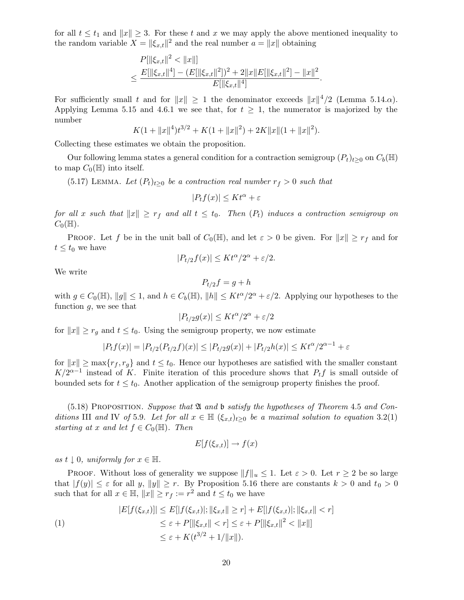for all  $t \leq t_1$  and  $||x|| \geq 3$ . For these t and x we may apply the above mentioned inequality to the random variable  $X = ||\xi_{x,t}||^2$  and the real number  $a = ||x||$  obtaining

$$
P[\|\xi_{x,t}\|^2 < \|x\|] \le \frac{E[\|\xi_{x,t}\|^2] - (E[\|\xi_{x,t}\|^2])^2 + 2\|x\|E[\|\xi_{x,t}\|^2] - \|x\|^2}{E[\|\xi_{x,t}\|^4]}.
$$

For sufficiently small t and for  $||x|| \ge 1$  the denominator exceeds  $||x||^4/2$  (Lemma 5.14. $\alpha$ ). Applying Lemma 5.15 and 4.6.1 we see that, for  $t \geq 1$ , the numerator is majorized by the number

$$
K(1 + ||x||4)t3/2 + K(1 + ||x||2) + 2K||x||(1 + ||x||2).
$$

Collecting these estimates we obtain the proposition.

Our following lemma states a general condition for a contraction semigroup  $(P_t)_{t\geq0}$  on  $C_b(\mathbb{H})$ to map  $C_0(\mathbb{H})$  into itself.

(5.17) LEMMA. Let  $(P_t)_{t\geq 0}$  be a contraction real number  $r_f > 0$  such that

$$
|P_tf(x)|\leq Kt^\alpha+\varepsilon
$$

for all x such that  $||x|| \geq r_f$  and all  $t \leq t_0$ . Then  $(P_t)$  induces a contraction semigroup on  $C_0(\mathbb{H}).$ 

**PROOF.** Let f be in the unit ball of  $C_0(\mathbb{H})$ , and let  $\varepsilon > 0$  be given. For  $||x|| \geq r_f$  and for  $t \leq t_0$  we have

$$
|P_{t/2}f(x)| \leq Kt^{\alpha}/2^{\alpha} + \varepsilon/2.
$$

We write

$$
P_{t/2}f = g + h
$$

with  $g \in C_0(\mathbb{H})$ ,  $||g|| \leq 1$ , and  $h \in C_b(\mathbb{H})$ ,  $||h|| \leq Kt^{\alpha}/2^{\alpha} + \varepsilon/2$ . Applying our hypotheses to the function  $g$ , we see that

$$
|P_{t/2} g(x)| \leq K t^\alpha/2^\alpha + \varepsilon/2
$$

for  $||x|| \ge r_g$  and  $t \le t_0$ . Using the semigroup property, we now estimate

$$
|P_t f(x)| = |P_{t/2}(P_{t/2}f)(x)| \le |P_{t/2}g(x)| + |P_{t/2}h(x)| \le Kt^{\alpha/2^{\alpha-1}} + \varepsilon
$$

for  $||x|| \ge \max\{r_f, r_g\}$  and  $t \le t_0$ . Hence our hypotheses are satisfied with the smaller constant  $K/2^{\alpha-1}$  instead of K. Finite iteration of this procedure shows that  $P_t f$  is small outside of bounded sets for  $t \leq t_0$ . Another application of the semigroup property finishes the proof.

 $(5.18)$  PROPOSITION. Suppose that  $\mathfrak A$  and  $\mathfrak b$  satisfy the hypotheses of Theorem 4.5 and Conditions III and IV of 5.9. Let for all  $x \in \mathbb{H}$   $(\xi_{x,t})_{t>0}$  be a maximal solution to equation 3.2(1) starting at x and let  $f \in C_0(\mathbb{H})$ . Then

$$
E[f(\xi_{x,t})] \to f(x)
$$

as  $t \downarrow 0$ , uniformly for  $x \in \mathbb{H}$ .

PROOF. Without loss of generality we suppose  $||f||_u \leq 1$ . Let  $\varepsilon > 0$ . Let  $r \geq 2$  be so large that  $|f(y)| \leq \varepsilon$  for all y,  $||y|| \geq r$ . By Proposition 5.16 there are constants  $k > 0$  and  $t_0 > 0$ such that for all  $x \in \mathbb{H}$ ,  $||x|| \ge r_f := r^2$  and  $t \le t_0$  we have

$$
|E[f(\xi_{x,t})]| \le E[|f(\xi_{x,t})|; \|\xi_{x,t}\| \ge r] + E[|f(\xi_{x,t})|; \|\xi_{x,t}\| < r] \\
\le \varepsilon + P[\|\xi_{x,t}\| < r] \le \varepsilon + P[\|\xi_{x,t}\|^2 < \|x\|] \\
\le \varepsilon + K(t^{3/2} + 1/\|x\|).
$$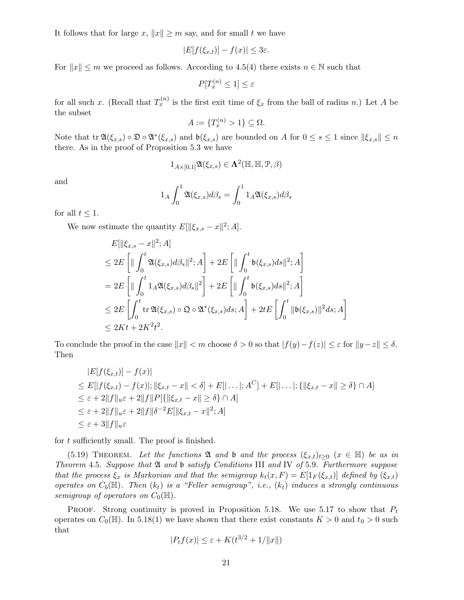It follows that for large x,  $||x|| \geq m$  say, and for small t we have

$$
|E[f(\xi_{x,t})] - f(x)| \leq 3\varepsilon.
$$

For  $||x|| \leq m$  we proceed as follows. According to 4.5(4) there exists  $n \in \mathbb{N}$  such that

$$
P[T_x^{(n)} \le 1] \le \varepsilon
$$

for all such x. (Recall that  $T_x^{(n)}$  is the first exit time of  $\xi_x$  from the ball of radius n.) Let A be the subset

$$
A := \{T_x^{(n)} > 1\} \subseteq \Omega.
$$

Note that  $\text{tr } \mathfrak{A}(\xi_{x,s}) \circ \mathfrak{D} \circ \mathfrak{A}^*(\xi_{x,s})$  and  $\mathfrak{b}(\xi_{x,s})$  are bounded on A for  $0 \leq s \leq 1$  since  $\|\xi_{x,s}\| \leq n$ there. As in the proof of Proposition 5.3 we have

$$
1_{A\times [0,1]}\mathfrak{A}(\xi_{x,s})\in \mathbf{\Lambda}^2(\mathbb{H},\mathbb{H},\mathcal{P},\beta)
$$

and

$$
1_A \int_0^1 \mathfrak{A}(\xi_{x,s}) d\beta_s = \int_0^1 1_A \mathfrak{A}(\xi_{x,s}) d\beta_s
$$

for all  $t \leq 1$ .

We now estimate the quantity  $E[\|\xi_{x,s} - x\|^2; A].$ 

$$
E[\|\xi_{x,s} - x\|^2; A]
$$
  
\n
$$
\leq 2E \left[ \| \int_0^t \mathfrak{A}(\xi_{x,s}) d\beta_s \|^2; A \right] + 2E \left[ \| \int_0^t \mathfrak{b}(\xi_{x,s}) ds \|^2; A \right]
$$
  
\n
$$
= 2E \left[ \| \int_0^t 1_A \mathfrak{A}(\xi_{x,s}) d\beta_s \|^2 \right] + 2E \left[ \| \int_0^t \mathfrak{b}(\xi_{x,s}) ds \|^2; A \right]
$$
  
\n
$$
\leq 2E \left[ \int_0^t \text{tr} \mathfrak{A}(\xi_{x,s}) \circ \mathfrak{Q} \circ \mathfrak{A}^*(\xi_{x,s}) ds; A \right] + 2tE \left[ \int_0^t \| \mathfrak{b}(\xi_{x,s}) \|^2 ds; A \right]
$$
  
\n
$$
\leq 2Kt + 2K^2t^2.
$$

To conclude the proof in the case  $||x|| < m$  choose  $\delta > 0$  so that  $|f(y)-f(z)| \leq \varepsilon$  for  $||y-z|| \leq \delta$ . Then

$$
|E[f(\xi_{x,t})] - f(x)|
$$
  
\n
$$
\leq E[|f(\xi_{x,t}) - f(x)|; ||\xi_{x,t} - x|| < \delta] + E[|\dots|; A^C] + E[|\dots|; \{||\xi_{x,t} - x|| \geq \delta\} \cap A]
$$
  
\n
$$
\leq \varepsilon + 2||f||_u \varepsilon + 2||f||P[\{||\xi_{x,t} - x|| \geq \delta\} \cap A]
$$
  
\n
$$
\leq \varepsilon + 2||f||_u \varepsilon + 2||f||\delta^{-2}E[||\xi_{x,t} - x||^2; A]
$$
  
\n
$$
\leq \varepsilon + 3||f||_u \varepsilon
$$

for  $t$  sufficiently small. The proof is finished.

(5.19) THEOREM. Let the functions  $\mathfrak A$  and b and the process  $(\xi_{x,t})_{t>0}$   $(x \in \mathbb H)$  be as in Theorem 4.5. Suppose that  $\mathfrak A$  and b satisfy Conditions III and IV of 5.9. Furthermore suppose that the process  $\xi_x$  is Markovian and that the semigroup  $k_t(x, F) = E[1_F(\xi_{x,t})]$  defined by  $(\xi_{x,t})$ operates on  $C_b(\mathbb{H})$ . Then  $(k_t)$  is a "Feller semigroup", i.e.,  $(k_t)$  induces a strongly continuous semigroup of operators on  $C_0(\mathbb{H})$ .

PROOF. Strong continuity is proved in Proposition 5.18. We use 5.17 to show that  $P_t$ operates on  $C_0(\mathbb{H})$ . In 5.18(1) we have shown that there exist constants  $K > 0$  and  $t_0 > 0$  such that

$$
|P_t f(x)| \le \varepsilon + K(t^{3/2} + 1/\|x\|)
$$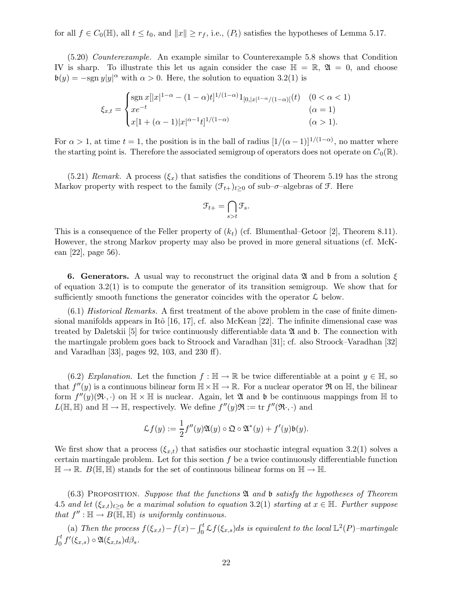for all  $f \in C_0(\mathbb{H})$ , all  $t \leq t_0$ , and  $||x|| \geq r_f$ , i.e.,  $(P_t)$  satisfies the hypotheses of Lemma 5.17.

(5.20) Counterexample. An example similar to Counterexample 5.8 shows that Condition IV is sharp. To illustrate this let us again consider the case  $\mathbb{H} = \mathbb{R}$ ,  $\mathfrak{A} = 0$ , and choose  $\mathfrak{b}(y) = -\text{sgn } y|y|^{\alpha}$  with  $\alpha > 0$ . Here, the solution to equation 3.2(1) is

$$
\xi_{x,t} = \begin{cases} \n\operatorname{sgn} x[|x|^{1-\alpha} - (1-\alpha)t]^{1/(1-\alpha)} 1_{[0,|x|^{1-\alpha}/(1-\alpha)]}(t) & (0 < \alpha < 1) \\
x e^{-t} & (\alpha = 1) \\
x[1 + (\alpha - 1)|x|^{\alpha - 1} t]^{1/(1-\alpha)} & (\alpha > 1).\n\end{cases}
$$

For  $\alpha > 1$ , at time  $t = 1$ , the position is in the ball of radius  $[1/(\alpha - 1)]^{1/(1-\alpha)}$ , no matter where the starting point is. Therefore the associated semigroup of operators does not operate on  $C_0(\mathbb{R})$ .

 $(5.21)$  Remark. A process  $(\xi_x)$  that satisfies the conditions of Theorem 5.19 has the strong Markov property with respect to the family  $(\mathcal{F}_{t+})_{t\geq 0}$  of sub– $\sigma$ –algebras of  $\mathcal{F}$ . Here

$$
\mathfrak{F}_{t+} = \bigcap_{s>t} \mathfrak{F}_s.
$$

This is a consequence of the Feller property of  $(k_t)$  (cf. Blumenthal–Getoor [2], Theorem 8.11). However, the strong Markov property may also be proved in more general situations (cf. McKean [22], page 56).

6. Generators. A usual way to reconstruct the original data  $\mathfrak A$  and b from a solution  $\xi$ of equation  $3.2(1)$  is to compute the generator of its transition semigroup. We show that for sufficiently smooth functions the generator coincides with the operator  $\mathcal L$  below.

(6.1) Historical Remarks. A first treatment of the above problem in the case of finite dimensional manifolds appears in Itô [16, 17], cf. also McKean [22]. The infinite dimensional case was treated by Daletskii [5] for twice continuously differentiable data  $\mathfrak{A}$  and  $\mathfrak{b}$ . The connection with the martingale problem goes back to Stroock and Varadhan [31]; cf. also Stroock–Varadhan [32] and Varadhan [33], pages 92, 103, and 230 ff).

(6.2) Explanation. Let the function  $f : \mathbb{H} \to \mathbb{R}$  be twice differentiable at a point  $y \in \mathbb{H}$ , so that  $f''(y)$  is a continuous bilinear form  $\mathbb{H} \times \mathbb{H} \to \mathbb{R}$ . For a nuclear operator  $\mathfrak{R}$  on  $\mathbb{H}$ , the bilinear form  $f''(y)(\mathfrak{R},\cdot)$  on  $\mathbb{H} \times \mathbb{H}$  is nuclear. Again, let  $\mathfrak{A}$  and  $\mathfrak{b}$  be continuous mappings from  $\mathbb{H}$  to  $L(\mathbb{H}, \mathbb{H})$  and  $\mathbb{H} \to \mathbb{H}$ , respectively. We define  $f''(y)\mathfrak{R} := \text{tr } f''(\mathfrak{R} \cdot, \cdot)$  and

$$
\mathcal{L}f(y) := \frac{1}{2}f''(y)\mathfrak{A}(y) \circ \mathfrak{Q} \circ \mathfrak{A}^*(y) + f'(y)\mathfrak{b}(y).
$$

We first show that a process  $(\xi_{x,t})$  that satisfies our stochastic integral equation 3.2(1) solves a certain martingale problem. Let for this section  $f$  be a twice continuously differentiable function  $\mathbb{H} \to \mathbb{R}$ .  $B(\mathbb{H}, \mathbb{H})$  stands for the set of continuous bilinear forms on  $\mathbb{H} \to \mathbb{H}$ .

 $(6.3)$  PROPOSITION. Suppose that the functions  $\mathfrak A$  and b satisfy the hypotheses of Theorem 4.5 and let  $(\xi_{x,t})_{t>0}$  be a maximal solution to equation 3.2(1) starting at  $x \in \mathbb{H}$ . Further suppose that  $f'': \mathbb{H} \to B(\mathbb{H}, \mathbb{H})$  is uniformly continuous.

(a) Then the process  $f(\xi_{x,t}) - f(x) - \int_0^t \mathcal{L}f(\xi_{x,s})ds$  is equivalent to the local  $\mathbb{L}^2(P)$ -martingale  $\int_0^t f'(\xi_{x,s}) \circ \mathfrak{A}(\xi_{x,ts}) d\beta_s.$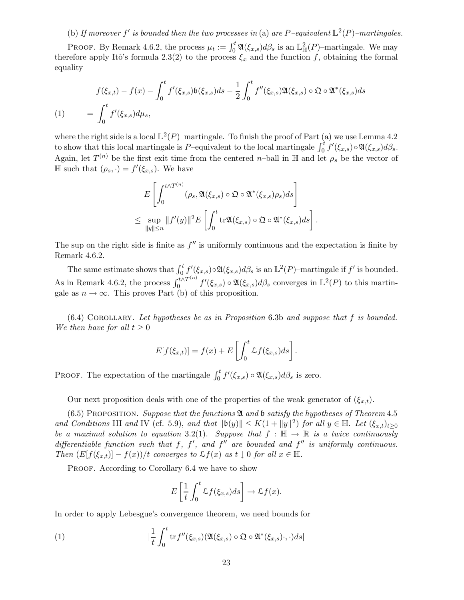# (b) If moreover f' is bounded then the two processes in (a) are P-equivalent  $\mathbb{L}^2(P)$ -martingales.

PROOF. By Remark 4.6.2, the process  $\mu_t := \int_0^t \mathfrak{A}(\xi_{x,s}) d\beta_s$  is an  $\mathbb{L}^2_{\mathbb{H}}(P)$ -martingale. We may therefore apply Itô's formula 2.3(2) to the process  $\xi_x$  and the function f, obtaining the formal equality

$$
f(\xi_{x,t}) - f(x) - \int_0^t f'(\xi_{x,s})\mathfrak{b}(\xi_{x,s})ds - \frac{1}{2} \int_0^t f''(\xi_{x,s})\mathfrak{A}(\xi_{x,s}) \circ \mathfrak{Q} \circ \mathfrak{A}^*(\xi_{x,s})ds
$$
  
(1) 
$$
= \int_0^t f'(\xi_{x,s})d\mu_s,
$$

where the right side is a local  $\mathbb{L}^2(P)$ -martingale. To finish the proof of Part (a) we use Lemma 4.2 to show that this local martingale is P–equivalent to the local martingale  $\int_0^t f'(\xi_{x,s}) \circ \mathfrak{A}(\xi_{x,s}) d\beta_s$ . Again, let  $T^{(n)}$  be the first exit time from the centered *n*-ball in H and let  $\rho_s$  be the vector of  $\mathbb H$  such that  $(\rho_s, \cdot) = f'(\xi_{x,s})$ . We have

$$
E\left[\int_0^{t\wedge T^{(n)}} (\rho_s, \mathfrak{A}(\xi_{x,s})\circ\mathfrak{Q}\circ\mathfrak{A}^*(\xi_{x,s})\rho_s)ds\right]
$$
  

$$
\leq \sup_{\|y\|\leq n} \|f'(y)\|^2 E\left[\int_0^t \text{tr}\mathfrak{A}(\xi_{x,s})\circ\mathfrak{Q}\circ\mathfrak{A}^*(\xi_{x,s})ds\right].
$$

The sup on the right side is finite as  $f''$  is uniformly continuous and the expectation is finite by Remark 4.6.2.

The same estimate shows that  $\int_0^t f'(\xi_{x,s}) \circ \mathfrak{A}(\xi_{x,s}) d\beta_s$  is an  $\mathbb{L}^2(P)$ -martingale if  $f'$  is bounded. As in Remark 4.6.2, the process  $\int_0^{t \wedge T^{(n)}}$  $\int_0^{t \wedge T^{(n)}} f'(\xi_{x,s}) \circ \mathfrak{A}(\xi_{x,s}) d\beta_s$  converges in  $\mathbb{L}^2(P)$  to this martingale as  $n \to \infty$ . This proves Part (b) of this proposition.

 $(6.4)$  COROLLARY. Let hypotheses be as in Proposition 6.3b and suppose that f is bounded. We then have for all  $t \geq 0$ 

$$
E[f(\xi_{x,t})] = f(x) + E\left[\int_0^t \mathcal{L}f(\xi_{x,s})ds\right].
$$

PROOF. The expectation of the martingale  $\int_0^t f'(\xi_{x,s}) \circ \mathfrak{A}(\xi_{x,s}) d\beta_s$  is zero.

Our next proposition deals with one of the properties of the weak generator of  $(\xi_{x,t})$ .

(6.5) PROPOSITION. Suppose that the functions  $\mathfrak A$  and  $\mathfrak b$  satisfy the hypotheses of Theorem 4.5 and Conditions III and IV (cf. 5.9), and that  $||\mathfrak{b}(y)|| \le K(1 + ||y||^2)$  for all  $y \in \mathbb{H}$ . Let  $(\xi_{x,t})_{t\geq 0}$ be a maximal solution to equation 3.2(1). Suppose that  $f : \mathbb{H} \to \mathbb{R}$  is a twice continuously differentiable function such that f, f', and f'' are bounded and f'' is uniformly continuous. Then  $(E[f(\xi_{x,t})] - f(x))/t$  converges to  $\mathcal{L}f(x)$  as  $t \downarrow 0$  for all  $x \in \mathbb{H}$ .

PROOF. According to Corollary 6.4 we have to show

$$
E\left[\frac{1}{t}\int_0^t \mathcal{L}f(\xi_{x,s})ds\right] \to \mathcal{L}f(x).
$$

In order to apply Lebesgue's convergence theorem, we need bounds for

(1) 
$$
|\frac{1}{t}\int_0^t \text{tr} f''(\xi_{x,s})(\mathfrak{A}(\xi_{x,s})\circ \mathfrak{Q}\circ \mathfrak{A}^*(\xi_{x,s})\cdot,\cdot)ds|
$$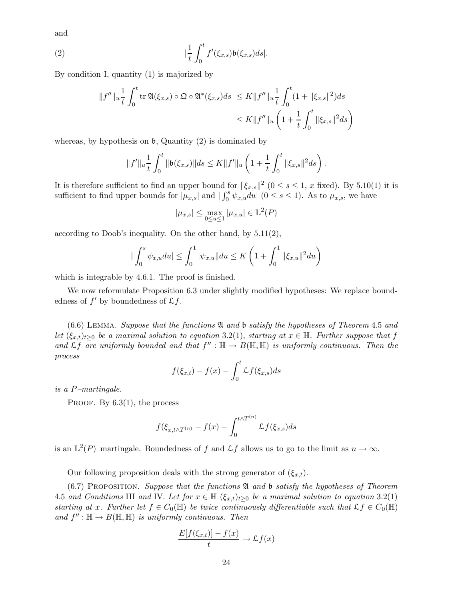and

(2) 
$$
|\frac{1}{t}\int_0^t f'(\xi_{x,s})\mathfrak{b}(\xi_{x,s})ds|.
$$

By condition I, quantity (1) is majorized by

$$
||f''||_u \frac{1}{t} \int_0^t \text{tr}\,\mathfrak{A}(\xi_{x,s}) \circ \mathfrak{Q} \circ \mathfrak{A}^*(\xi_{x,s}) ds \le K ||f''||_u \frac{1}{t} \int_0^t (1 + ||\xi_{x,s}||^2) ds
$$
  

$$
\le K ||f''||_u \left(1 + \frac{1}{t} \int_0^t ||\xi_{x,s}||^2 ds\right)
$$

whereas, by hypothesis on  $\mathfrak b$ , Quantity (2) is dominated by

$$
||f'||_u \frac{1}{t} \int_0^t ||\mathfrak{b}(\xi_{x,s})|| ds \leq K ||f'||_u \left(1 + \frac{1}{t} \int_0^t ||\xi_{x,s}||^2 ds\right).
$$

It is therefore sufficient to find an upper bound for  $\|\xi_{x,s}\|^2$   $(0 \le s \le 1, x$  fixed). By 5.10(1) it is sufficient to find upper bounds for  $|\mu_{x,s}|$  and  $|\int_0^s \psi_{x,u} du|$   $(0 \le s \le 1)$ . As to  $\mu_{x,s}$ , we have

$$
|\mu_{x,s}| \le \max_{0 \le u \le 1} |\mu_{x,u}| \in L^2(P)
$$

according to Doob's inequality. On the other hand, by 5.11(2),

$$
\left| \int_0^s \psi_{x,u} du \right| \leq \int_0^1 |\psi_{x,u}| | du \leq K \left( 1 + \int_0^1 \|\xi_{x,u}\|^2 du \right)
$$

which is integrable by 4.6.1. The proof is finished.

We now reformulate Proposition 6.3 under slightly modified hypotheses: We replace boundedness of  $f'$  by boundedness of  $\mathcal{L}f$ .

 $(6.6)$  LEMMA. Suppose that the functions  $\mathfrak A$  and b satisfy the hypotheses of Theorem 4.5 and let  $(\xi_{x,t})_{t>0}$  be a maximal solution to equation 3.2(1), starting at  $x \in \mathbb{H}$ . Further suppose that f and  $\mathcal{L}f$  are uniformly bounded and that  $f'' : \mathbb{H} \to B(\mathbb{H}, \mathbb{H})$  is uniformly continuous. Then the process

$$
f(\xi_{x,t}) - f(x) - \int_0^t \mathcal{L}f(\xi_{x,s})ds
$$

is a P–martingale.

PROOF. By  $6.3(1)$ , the process

$$
f(\xi_{x,t\wedge T^{(n)}}-f(x)-\int_0^{t\wedge T^{(n)}}\mathcal{L}f(\xi_{x,s})ds
$$

is an  $\mathbb{L}^2(P)$ -martingale. Boundedness of f and  $\mathcal{L}f$  allows us to go to the limit as  $n \to \infty$ .

Our following proposition deals with the strong generator of  $(\xi_{x,t})$ .

 $(6.7)$  PROPOSITION. Suppose that the functions  $\mathfrak A$  and  $\mathfrak b$  satisfy the hypotheses of Theorem 4.5 and Conditions III and IV. Let for  $x \in \mathbb{H}$   $(\xi_{x,t})_{t>0}$  be a maximal solution to equation 3.2(1) starting at x. Further let  $f \in C_0(\mathbb{H})$  be twice continuously differentiable such that  $\mathcal{L}f \in C_0(\mathbb{H})$ and  $f'': \mathbb{H} \to B(\mathbb{H}, \mathbb{H})$  is uniformly continuous. Then

$$
\frac{E[f(\xi_{x,t})] - f(x)}{t} \to \mathcal{L}f(x)
$$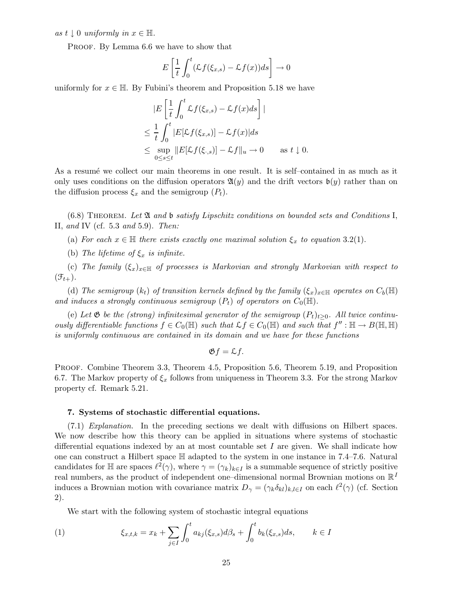as  $t \downarrow 0$  uniformly in  $x \in \mathbb{H}$ .

PROOF. By Lemma 6.6 we have to show that

$$
E\left[\frac{1}{t}\int_0^t (\mathcal{L}f(\xi_{x,s}) - \mathcal{L}f(x))ds\right] \to 0
$$

uniformly for  $x \in \mathbb{H}$ . By Fubini's theorem and Proposition 5.18 we have

$$
|E\left[\frac{1}{t}\int_0^t \mathcal{L}f(\xi_{x,s}) - \mathcal{L}f(x)ds\right]|
$$
  
\n
$$
\leq \frac{1}{t}\int_0^t |E[\mathcal{L}f(\xi_{x,s})] - \mathcal{L}f(x)|ds
$$
  
\n
$$
\leq \sup_{0 \leq s \leq t} ||E[\mathcal{L}f(\xi_{\cdot,s})] - \mathcal{L}f||_u \to 0 \quad \text{as } t \downarrow 0.
$$

As a resume we collect our main theorems in one result. It is self-contained in as much as it only uses conditions on the diffusion operators  $\mathfrak{A}(y)$  and the drift vectors  $\mathfrak{b}(y)$  rather than on the diffusion process  $\xi_x$  and the semigroup  $(P_t)$ .

 $(6.8)$  THEOREM. Let  $\mathfrak A$  and  $\mathfrak b$  satisfy Lipschitz conditions on bounded sets and Conditions I, II, and IV (cf.  $5.3$  and  $5.9$ ). Then:

(a) For each  $x \in \mathbb{H}$  there exists exactly one maximal solution  $\xi_x$  to equation 3.2(1).

(b) The lifetime of  $\xi_x$  is infinite.

(c) The family  $(\xi_x)_{x\in\mathbb{H}}$  of processes is Markovian and strongly Markovian with respect to  $(\mathfrak{F}_{t+})$ .

(d) The semigroup  $(k_t)$  of transition kernels defined by the family  $(\xi_x)_{x\in\mathbb{H}}$  operates on  $C_b(\mathbb{H})$ and induces a strongly continuous semigroup  $(P_t)$  of operators on  $C_0(\mathbb{H})$ .

(e) Let  $\mathfrak{G}$  be the (strong) infinitesimal generator of the semigroup  $(P_t)_{t>0}$ . All twice continuously differentiable functions  $f \in C_0(\mathbb{H})$  such that  $\mathcal{L}f \in C_0(\mathbb{H})$  and such that  $f'' : \mathbb{H} \to B(\mathbb{H}, \mathbb{H})$ is uniformly continuous are contained in its domain and we have for these functions

$$
\mathfrak{G}f=\mathcal{L}f.
$$

PROOF. Combine Theorem 3.3, Theorem 4.5, Proposition 5.6, Theorem 5.19, and Proposition 6.7. The Markov property of  $\xi_x$  follows from uniqueness in Theorem 3.3. For the strong Markov property cf. Remark 5.21.

### 7. Systems of stochastic differential equations.

(7.1) Explanation. In the preceding sections we dealt with diffusions on Hilbert spaces. We now describe how this theory can be applied in situations where systems of stochastic differential equations indexed by an at most countable set  $I$  are given. We shall indicate how one can construct a Hilbert space  $\mathbb H$  adapted to the system in one instance in 7.4–7.6. Natural candidates for  $\mathbb H$  are spaces  $\ell^2(\gamma)$ , where  $\gamma = (\gamma_k)_{k\in I}$  is a summable sequence of strictly positive real numbers, as the product of independent one–dimensional normal Brownian motions on  $\mathbb{R}^I$ induces a Brownian motion with covariance matrix  $D_{\gamma} = (\gamma_k \delta_{kl})_{k,l \in I}$  on each  $\ell^2(\gamma)$  (cf. Section 2).

We start with the following system of stochastic integral equations

(1) 
$$
\xi_{x,t,k} = x_k + \sum_{j \in I} \int_0^t a_{kj}(\xi_{x,s}) d\beta_s + \int_0^t b_k(\xi_{x,s}) ds, \qquad k \in I
$$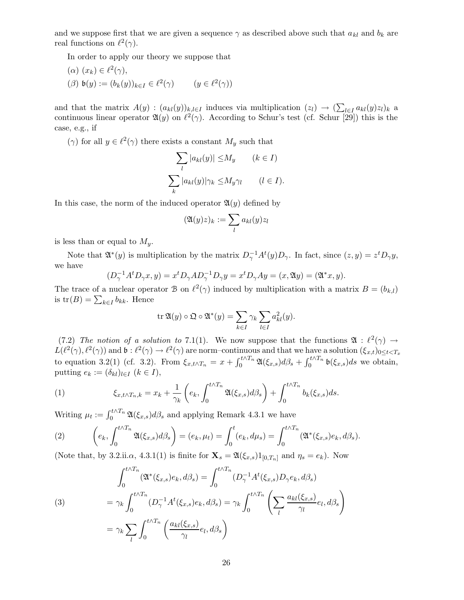and we suppose first that we are given a sequence  $\gamma$  as described above such that  $a_{kl}$  and  $b_k$  are real functions on  $\ell^2(\gamma)$ .

In order to apply our theory we suppose that

\n- $$
(\alpha) \ (x_k) \in \ell^2(\gamma),
$$
\n- $(\beta) \ \mathfrak{b}(y) := (b_k(y))_{k \in I} \in \ell^2(\gamma)$
\n- $(y \in \ell^2(\gamma))$
\n

and that the matrix  $A(y) : (a_{kl}(y))_{k,l\in I}$  induces via multiplication  $(z_l) \to (\sum_{l\in I} a_{kl}(y)z_l)_k$  a continuous linear operator  $\mathfrak{A}(y)$  on  $\ell^2(\gamma)$ . According to Schur's test (cf. Schur [29]) this is the case, e.g., if

 $(\gamma)$  for all  $y \in \ell^2(\gamma)$  there exists a constant  $M_y$  such that

$$
\sum_{l} |a_{kl}(y)| \le M_y \qquad (k \in I)
$$

$$
\sum_{k} |a_{kl}(y)| \gamma_k \le M_y \gamma_l \qquad (l \in I).
$$

In this case, the norm of the induced operator  $\mathfrak{A}(y)$  defined by

$$
(\mathfrak{A}(y)z)_k := \sum_l a_{kl}(y)z_l
$$

is less than or equal to  $M_y$ .

Note that  $\mathfrak{A}^*(y)$  is multiplication by the matrix  $D_\gamma^{-1} A^t(y) D_\gamma$ . In fact, since  $(z, y) = z^t D_\gamma y$ , we have

$$
(D_{\gamma}^{-1}A^t D_{\gamma} x, y) = x^t D_{\gamma} A D_{\gamma}^{-1} D_{\gamma} y = x^t D_{\gamma} A y = (x, \mathfrak{A} y) = (\mathfrak{A}^* x, y).
$$

The trace of a nuclear operator B on  $\ell^2(\gamma)$  induced by multiplication with a matrix  $B = (b_{k,l})$ is  $tr(B) = \sum_{k \in I} b_{kk}$ . Hence

$$
\operatorname{tr} \mathfrak{A}(y) \circ \mathfrak{Q} \circ \mathfrak{A}^*(y) = \sum_{k \in I} \gamma_k \sum_{l \in I} a_{kl}^2(y).
$$

(7.2) The notion of a solution to 7.1(1). We now suppose that the functions  $\mathfrak{A} : \ell^2(\gamma) \to$  $L(\ell^2(\gamma), \ell^2(\gamma))$  and  $\mathfrak{b}: \ell^2(\gamma) \to \ell^2(\gamma)$  are norm–continuous and that we have a solution  $(\xi_{x,t})_{0 \leq t < T_x}$ to equation 3.2(1) (cf. 3.2). From  $\xi_{x,t\wedge T_n} = x + \int_0^{t\wedge T_n} \mathfrak{A}(\xi_{x,s}) d\beta_s + \int_0^{t\wedge T_n} \mathfrak{b}(\xi_{x,s}) ds$  we obtain, putting  $e_k := (\delta_{kl})_{l \in I} \ (k \in I),$ 

(1) 
$$
\xi_{x,t\wedge T_n,k}=x_k+\frac{1}{\gamma_k}\left(e_k,\int_0^{t\wedge T_n}\mathfrak{A}(\xi_{x,s})d\beta_s\right)+\int_0^{t\wedge T_n}b_k(\xi_{x,s})ds.
$$

Writing  $\mu_t := \int_0^{t \wedge T_n} \mathfrak{A}(\xi_{x,s}) d\beta_s$  and applying Remark 4.3.1 we have

(2) 
$$
\left(e_k, \int_0^{t \wedge T_n} \mathfrak{A}(\xi_{x,s}) d\beta_s\right) = (e_k, \mu_t) = \int_0^t (e_k, d\mu_s) = \int_0^{t \wedge T_n} (\mathfrak{A}^*(\xi_{x,s}) e_k, d\beta_s).
$$

(Note that, by 3.2.ii. $\alpha$ , 4.3.1(1) is finite for  $\mathbf{X}_s = \mathfrak{A}(\xi_{x,s})1_{[0,T_n]}$  and  $\eta_s = e_k$ ). Now

(3)  
\n
$$
\int_0^{t \wedge T_n} (\mathfrak{A}^*(\xi_{x,s}) e_k, d\beta_s) = \int_0^{t \wedge T_n} (D_\gamma^{-1} A^t(\xi_{x,s}) D_\gamma e_k, d\beta_s)
$$
\n
$$
= \gamma_k \int_0^{t \wedge T_n} (D_\gamma^{-1} A^t(\xi_{x,s}) e_k, d\beta_s) = \gamma_k \int_0^{t \wedge T_n} \left( \sum_l \frac{a_{kl}(\xi_{x,s})}{\gamma_l} e_l, d\beta_s \right)
$$
\n
$$
= \gamma_k \sum_l \int_0^{t \wedge T_n} \left( \frac{a_{kl}(\xi_{x,s})}{\gamma_l} e_l, d\beta_s \right)
$$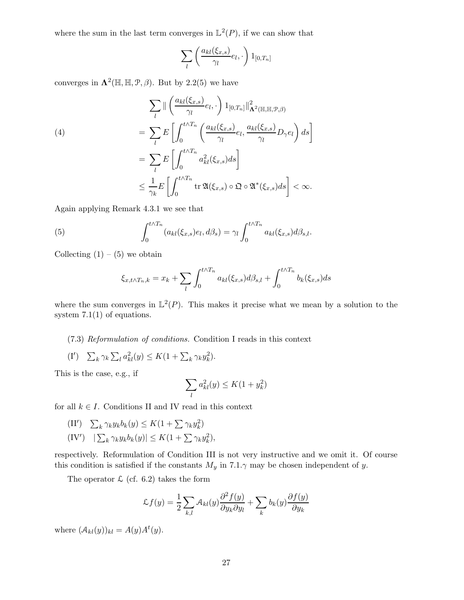where the sum in the last term converges in  $\mathbb{L}^2(P)$ , if we can show that

$$
\sum_{l} \left( \frac{a_{kl}(\xi_{x,s})}{\gamma_l} e_l, \cdot \right) 1_{[0,T_n]}
$$

converges in  $\Lambda^2(\mathbb{H}, \mathbb{H}, \mathcal{P}, \beta)$ . But by 2.2(5) we have

(4)  
\n
$$
\sum_{l} \|\left(\frac{a_{kl}(\xi_{x,s})}{\gamma_l}e_l,\cdot\right)1_{[0,T_n]}\|_{\mathbf{\Lambda}^2(\mathbb{H}, \mathbb{H}, \mathcal{P}, \beta)}^2
$$
\n
$$
=\sum_{l} E\left[\int_0^{t \wedge T_n} \left(\frac{a_{kl}(\xi_{x,s})}{\gamma_l}e_l, \frac{a_{kl}(\xi_{x,s})}{\gamma_l}D_\gamma e_l\right) ds\right]
$$
\n
$$
=\sum_{l} E\left[\int_0^{t \wedge T_n} a_{kl}^2(\xi_{x,s}) ds\right]
$$
\n
$$
\leq \frac{1}{\gamma_k} E\left[\int_0^{t \wedge T_n} \text{tr}\,\mathfrak{A}(\xi_{x,s}) \circ \mathfrak{Q} \circ \mathfrak{A}^*(\xi_{x,s}) ds\right] < \infty.
$$

Again applying Remark 4.3.1 we see that

(5) 
$$
\int_0^{t \wedge T_n} (a_{kl}(\xi_{x,s})e_l, d\beta_s) = \gamma_l \int_0^{t \wedge T_n} a_{kl}(\xi_{x,s}) d\beta_{s,l}.
$$

Collecting  $(1) - (5)$  we obtain

$$
\xi_{x,t \wedge T_n,k} = x_k + \sum_l \int_0^{t \wedge T_n} a_{kl}(\xi_{x,s}) d\beta_{s,l} + \int_0^{t \wedge T_n} b_k(\xi_{x,s}) ds
$$

where the sum converges in  $\mathbb{L}^2(P)$ . This makes it precise what we mean by a solution to the system  $7.1(1)$  of equations.

### (7.3) Reformulation of conditions. Condition I reads in this context

(I')  $\sum_k \gamma_k \sum_l a_{kl}^2(y) \leq K(1 + \sum_k \gamma_k y_k^2).$ 

This is the case, e.g., if

$$
\sum_{l} a_{kl}^2(y) \leq K(1+y_k^2)
$$

for all  $k \in I$ . Conditions II and IV read in this context

- $(II') \quad \sum_k \gamma_k y_k b_k(y) \leq K(1 + \sum \gamma_k y_k^2)$
- $(IV') \quad |\sum_{k} \gamma_{k} y_{k} b_{k}(y)| \leq K(1 + \sum \gamma_{k} y_{k}^{2}),$

respectively. Reformulation of Condition III is not very instructive and we omit it. Of course this condition is satisfied if the constants  $M_y$  in 7.1. $\gamma$  may be chosen independent of y.

The operator  $\mathcal{L}$  (cf. 6.2) takes the form

$$
\mathcal{L}f(y) = \frac{1}{2} \sum_{k,l} \mathcal{A}_{kl}(y) \frac{\partial^2 f(y)}{\partial y_k \partial y_l} + \sum_k b_k(y) \frac{\partial f(y)}{\partial y_k}
$$

where  $(A_{kl}(y))_{kl} = A(y)A^{t}(y)$ .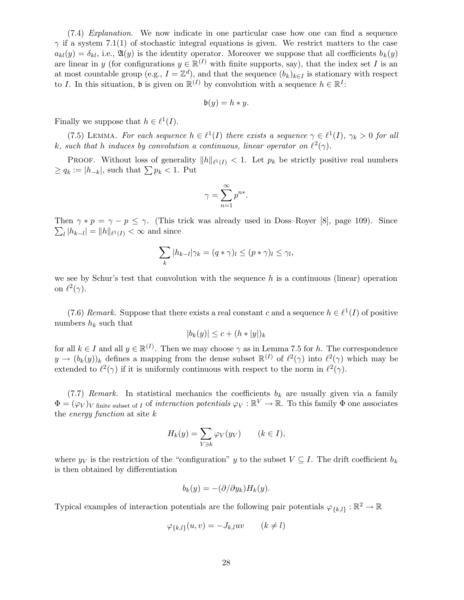(7.4) Explanation. We now indicate in one particular case how one can find a sequence  $\gamma$  if a system 7.1(1) of stochastic integral equations is given. We restrict matters to the case  $a_{kl}(y) = \delta_{kl}$ , i.e.,  $\mathfrak{A}(y)$  is the identity operator. Moreover we suppose that all coefficients  $b_k(y)$ are linear in y (for configurations  $y \in \mathbb{R}^{(I)}$  with finite supports, say), that the index set I is an at most countable group (e.g.,  $I = \mathbb{Z}^d$ ), and that the sequence  $(b_k)_{k \in I}$  is stationary with respect to I. In this situation,  $\mathfrak{b}$  is given on  $\mathbb{R}^{(I)}$  by convolution with a sequence  $h \in \mathbb{R}^{I}$ :

$$
\mathfrak{b}(y) = h * y.
$$

Finally we suppose that  $h \in \ell^1(I)$ .

(7.5) LEMMA. For each sequence  $h \in \ell^1(I)$  there exists a sequence  $\gamma \in \ell^1(I)$ ,  $\gamma_k > 0$  for all k, such that h induces by convolution a continuous, linear operator on  $\ell^2(\gamma)$ .

**PROOF.** Without loss of generality  $||h||_{\ell^1(I)} < 1$ . Let  $p_k$  be strictly positive real numbers  $\geq q_k := |h_{-k}|$ , such that  $\sum p_k < 1$ . Put

$$
\gamma = \sum_{n=1}^{\infty} p^{n*}.
$$

Then  $\gamma * p = \gamma - p \leq \gamma$ . (This trick was already used in Doss-Royer [8], page 109). Since  $\sum_{l} |h_{k-l}| = ||h||_{\ell^1(I)} < \infty$  and since

$$
\sum_{k} |h_{k-l}| \gamma_k = (q * \gamma)_l \le (p * \gamma)_l \le \gamma_l,
$$

we see by Schur's test that convolution with the sequence  $h$  is a continuous (linear) operation on  $\ell^2(\gamma)$ .

(7.6) Remark. Suppose that there exists a real constant c and a sequence  $h \in \ell^1(I)$  of positive numbers  $h_k$  such that

$$
|b_k(y)| \le c + (h * |y|)_k
$$

for all  $k \in I$  and all  $y \in \mathbb{R}^{(I)}$ . Then we may choose  $\gamma$  as in Lemma 7.5 for h. The correspondence  $y \to (b_k(y))_k$  defines a mapping from the dense subset  $\mathbb{R}^{(I)}$  of  $\ell^2(\gamma)$  into  $\ell^2(\gamma)$  which may be extended to  $\ell^2(\gamma)$  if it is uniformly continuous with respect to the norm in  $\ell^2(\gamma)$ .

(7.7) Remark. In statistical mechanics the coefficients  $b_k$  are usually given via a family  $\Phi = (\varphi_V)_V$  finite subset of I of interaction potentials  $\varphi_V : \mathbb{R}^V \to \mathbb{R}$ . To this family  $\Phi$  one associates the *energy function* at site  $k$ 

$$
H_k(y) = \sum_{V \ni k} \varphi_V(y_V) \qquad (k \in I),
$$

where  $y_V$  is the restriction of the "configuration" y to the subset  $V \subseteq I$ . The drift coefficient  $b_k$ is then obtained by differentiation

$$
b_k(y) = -(\partial/\partial y_k)H_k(y).
$$

Typical examples of interaction potentials are the following pair potentials  $\varphi_{\{k,l\}}:\mathbb{R}^2\to\mathbb{R}$ 

$$
\varphi_{\{k,l\}}(u,v) = -J_{k,l}uv \qquad (k \neq l)
$$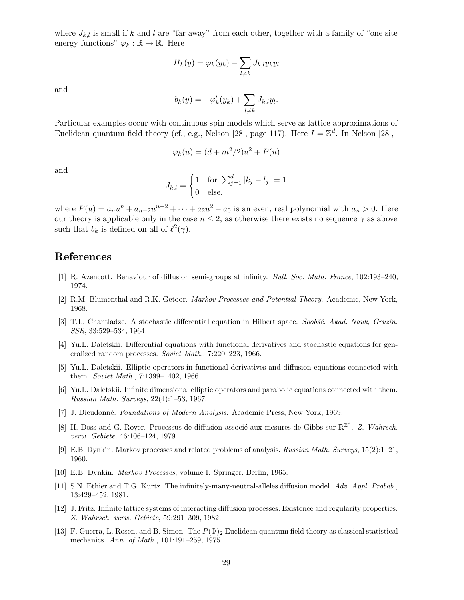where  $J_{k,l}$  is small if k and l are "far away" from each other, together with a family of "one site energy functions"  $\varphi_k : \mathbb{R} \to \mathbb{R}$ . Here

$$
H_k(y) = \varphi_k(y_k) - \sum_{l \neq k} J_{k,l} y_k y_l
$$

and

$$
b_k(y) = -\varphi_k'(y_k) + \sum_{l \neq k} J_{k,l} y_l.
$$

Particular examples occur with continuous spin models which serve as lattice approximations of Euclidean quantum field theory (cf., e.g., Nelson [28], page 117). Here  $I = \mathbb{Z}^d$ . In Nelson [28],

$$
\varphi_k(u) = (d+m^2/2)u^2 + P(u)
$$

and

$$
J_{k,l} = \begin{cases} 1 & \text{for } \sum_{j=1}^{d} |k_j - l_j| = 1\\ 0 & \text{else,} \end{cases}
$$

where  $P(u) = a_n u^n + a_{n-2} u^{n-2} + \cdots + a_2 u^2 - a_0$  is an even, real polynomial with  $a_n > 0$ . Here our theory is applicable only in the case  $n \leq 2$ , as otherwise there exists no sequence  $\gamma$  as above such that  $b_k$  is defined on all of  $\ell^2(\gamma)$ .

## References

- [1] R. Azencott. Behaviour of diffusion semi-groups at infinity. Bull. Soc. Math. France, 102:193–240, 1974.
- [2] R.M. Blumenthal and R.K. Getoor. Markov Processes and Potential Theory. Academic, New York, 1968.
- [3] T.L. Chantladze. A stochastic differential equation in Hilbert space. Soobšč. Akad. Nauk, Gruzin. SSR, 33:529–534, 1964.
- [4] Yu.L. Daletskii. Differential equations with functional derivatives and stochastic equations for generalized random processes. Soviet Math., 7:220–223, 1966.
- [5] Yu.L. Daletskii. Elliptic operators in functional derivatives and diffusion equations connected with them. Soviet Math., 7:1399–1402, 1966.
- [6] Yu.L. Daletskii. Infinite dimensional elliptic operators and parabolic equations connected with them. Russian Math. Surveys, 22(4):1–53, 1967.
- [7] J. Dieudonné. Foundations of Modern Analysis. Academic Press, New York, 1969.
- [8] H. Doss and G. Royer. Processus de diffusion associé aux mesures de Gibbs sur  $\mathbb{R}^{\mathbb{Z}^d}$ . Z. Wahrsch. verw. Gebiete, 46:106–124, 1979.
- [9] E.B. Dynkin. Markov processes and related problems of analysis. Russian Math. Surveys, 15(2):1–21, 1960.
- [10] E.B. Dynkin. Markov Processes, volume I. Springer, Berlin, 1965.
- [11] S.N. Ethier and T.G. Kurtz. The infinitely-many-neutral-alleles diffusion model. Adv. Appl. Probab., 13:429–452, 1981.
- [12] J. Fritz. Infinite lattice systems of interacting diffusion processes. Existence and regularity properties. Z. Wahrsch. verw. Gebiete, 59:291–309, 1982.
- [13] F. Guerra, L. Rosen, and B. Simon. The  $P(\Phi)_2$  Euclidean quantum field theory as classical statistical mechanics. Ann. of Math., 101:191–259, 1975.